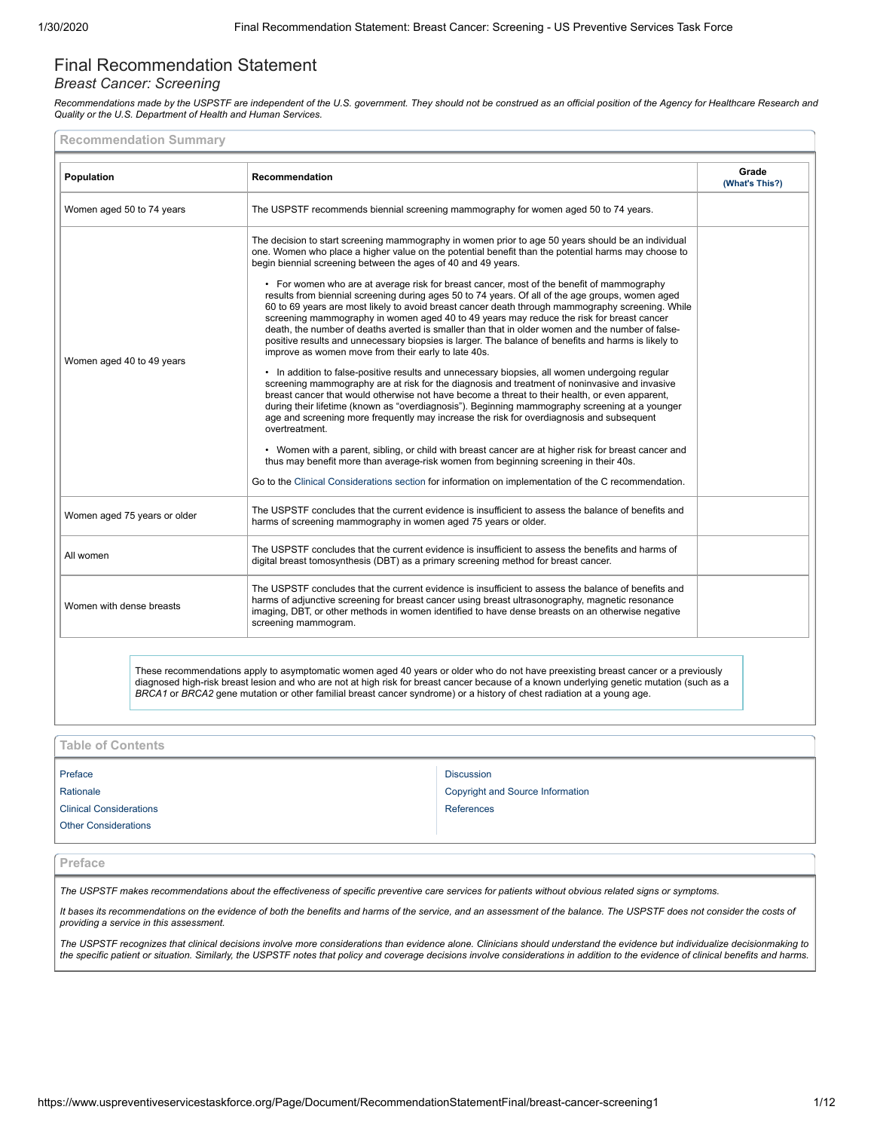# Final Recommendation Statement

# *Breast Cancer: Screening*

Recommendations made by the USPSTF are independent of the U.S. government. They should not be construed as an official position of the Agency for Healthcare Research and<br>Quality or the U.S. Department of Health and Human S

**Recommendation Summary**

| Population                   | Recommendation                                                                                                                                                                                                                                                                                                                                                                                                                                                                                                                                                                                                                                                                                                                                                                                                                                                                                                                                                                                                                                                                                                                                                                                                                                                                                                                                                                                                                                                                                                                                                                                                                                                                                                                                                             | Grade<br>(What's This?) |
|------------------------------|----------------------------------------------------------------------------------------------------------------------------------------------------------------------------------------------------------------------------------------------------------------------------------------------------------------------------------------------------------------------------------------------------------------------------------------------------------------------------------------------------------------------------------------------------------------------------------------------------------------------------------------------------------------------------------------------------------------------------------------------------------------------------------------------------------------------------------------------------------------------------------------------------------------------------------------------------------------------------------------------------------------------------------------------------------------------------------------------------------------------------------------------------------------------------------------------------------------------------------------------------------------------------------------------------------------------------------------------------------------------------------------------------------------------------------------------------------------------------------------------------------------------------------------------------------------------------------------------------------------------------------------------------------------------------------------------------------------------------------------------------------------------------|-------------------------|
| Women aged 50 to 74 years    | The USPSTF recommends biennial screening mammography for women aged 50 to 74 years.                                                                                                                                                                                                                                                                                                                                                                                                                                                                                                                                                                                                                                                                                                                                                                                                                                                                                                                                                                                                                                                                                                                                                                                                                                                                                                                                                                                                                                                                                                                                                                                                                                                                                        |                         |
| Women aged 40 to 49 years    | The decision to start screening mammography in women prior to age 50 years should be an individual<br>one. Women who place a higher value on the potential benefit than the potential harms may choose to<br>begin biennial screening between the ages of 40 and 49 years.<br>• For women who are at average risk for breast cancer, most of the benefit of mammography<br>results from biennial screening during ages 50 to 74 years. Of all of the age groups, women aged<br>60 to 69 years are most likely to avoid breast cancer death through mammography screening. While<br>screening mammography in women aged 40 to 49 years may reduce the risk for breast cancer<br>death, the number of deaths averted is smaller than that in older women and the number of false-<br>positive results and unnecessary biopsies is larger. The balance of benefits and harms is likely to<br>improve as women move from their early to late 40s.<br>• In addition to false-positive results and unnecessary biopsies, all women undergoing regular<br>screening mammography are at risk for the diagnosis and treatment of noninvasive and invasive<br>breast cancer that would otherwise not have become a threat to their health, or even apparent,<br>during their lifetime (known as "overdiagnosis"). Beginning mammography screening at a younger<br>age and screening more frequently may increase the risk for overdiagnosis and subsequent<br>overtreatment.<br>• Women with a parent, sibling, or child with breast cancer are at higher risk for breast cancer and<br>thus may benefit more than average-risk women from beginning screening in their 40s.<br>Go to the Clinical Considerations section for information on implementation of the C recommendation. |                         |
| Women aged 75 years or older | The USPSTF concludes that the current evidence is insufficient to assess the balance of benefits and<br>harms of screening mammography in women aged 75 years or older.                                                                                                                                                                                                                                                                                                                                                                                                                                                                                                                                                                                                                                                                                                                                                                                                                                                                                                                                                                                                                                                                                                                                                                                                                                                                                                                                                                                                                                                                                                                                                                                                    |                         |
| All women                    | The USPSTF concludes that the current evidence is insufficient to assess the benefits and harms of<br>digital breast tomosynthesis (DBT) as a primary screening method for breast cancer.                                                                                                                                                                                                                                                                                                                                                                                                                                                                                                                                                                                                                                                                                                                                                                                                                                                                                                                                                                                                                                                                                                                                                                                                                                                                                                                                                                                                                                                                                                                                                                                  |                         |
| Women with dense breasts     | The USPSTF concludes that the current evidence is insufficient to assess the balance of benefits and<br>harms of adjunctive screening for breast cancer using breast ultrasonography, magnetic resonance<br>imaging, DBT, or other methods in women identified to have dense breasts on an otherwise negative<br>screening mammogram.                                                                                                                                                                                                                                                                                                                                                                                                                                                                                                                                                                                                                                                                                                                                                                                                                                                                                                                                                                                                                                                                                                                                                                                                                                                                                                                                                                                                                                      |                         |

# **Table of Contents**

| Preface                        | <b>Discussion</b>                |
|--------------------------------|----------------------------------|
| Rationale                      | Copyright and Source Information |
| <b>Clinical Considerations</b> | References                       |
| <b>Other Considerations</b>    |                                  |
|                                |                                  |

#### <span id="page-0-0"></span>**Preface**

*The USPSTF makes recommendations about the effectiveness of specific preventive care services for patients without obvious related signs or symptoms.*

*It bases its recommendations on the evidence of both the benefits and harms of the service, and an assessment of the balance. The USPSTF does not consider the costs of providing a service in this assessment.*

The USPSTF recognizes that clinical decisions involve more considerations than evidence alone. Clinicians should understand the evidence but individualize decisionmaking to<br>the specific patient or situation. Similarly, the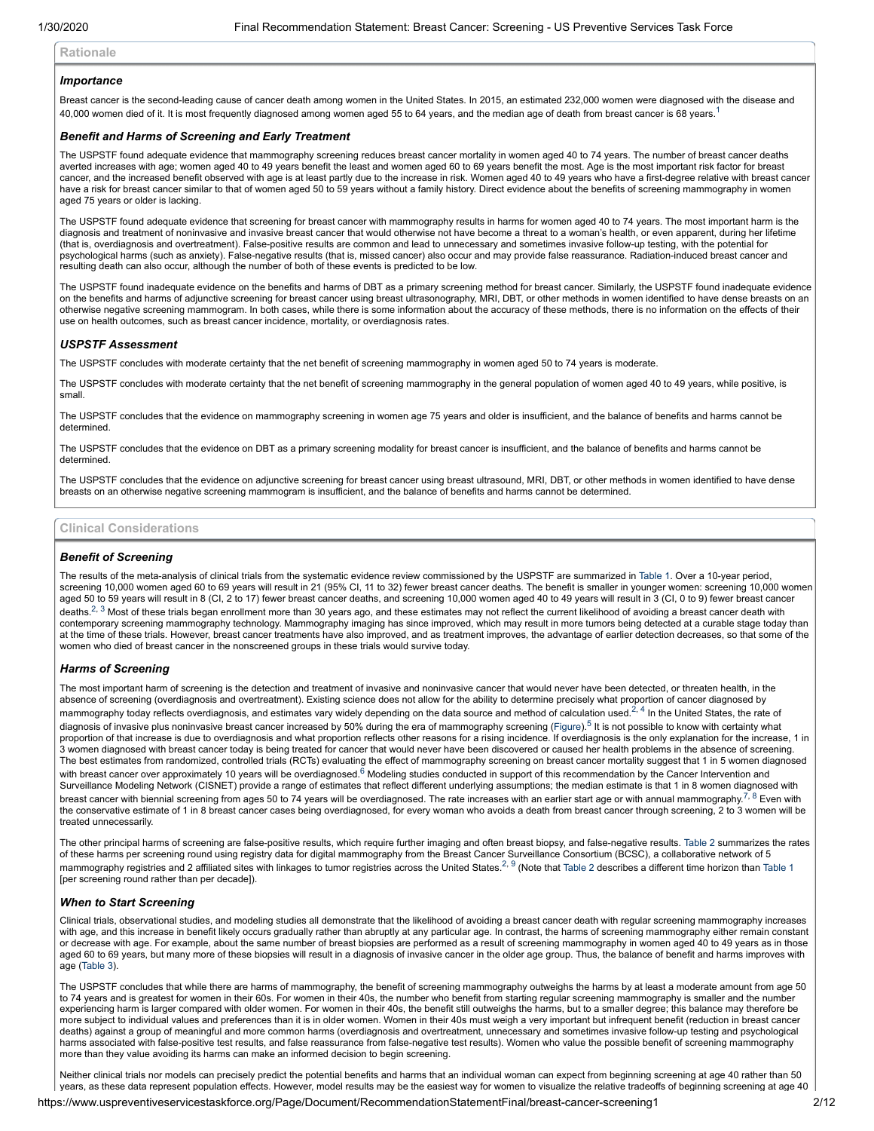<span id="page-1-1"></span>**Rationale**

## *Importance*

Breast cancer is the second-leading cause of cancer death among women in the United States. In 2015, an estimated 232,000 women were diagnosed with the disease and 40,000 women died of it. It is most frequently diagnosed among women aged 55 to 64 years, and the median age of death from breast cancer is 68 years.[1](#page-8-2)

#### *Benefit and Harms of Screening and Early Treatment*

The USPSTF found adequate evidence that mammography screening reduces breast cancer mortality in women aged 40 to 74 years. The number of breast cancer deaths averted increases with age; women aged 40 to 49 years benefit the least and women aged 60 to 69 years benefit the most. Age is the most important risk factor for breast cancer, and the increased benefit observed with age is at least partly due to the increase in risk. Women aged 40 to 49 years who have a first-degree relative with breast cancer have a risk for breast cancer similar to that of women aged 50 to 59 years without a family history. Direct evidence about the benefits of screening mammography in women aged 75 years or older is lacking.

The USPSTF found adequate evidence that screening for breast cancer with mammography results in harms for women aged 40 to 74 years. The most important harm is the diagnosis and treatment of noninvasive and invasive breast cancer that would otherwise not have become a threat to a woman's health, or even apparent, during her lifetime (that is, overdiagnosis and overtreatment). False-positive results are common and lead to unnecessary and sometimes invasive follow-up testing, with the potential for psychological harms (such as anxiety). False-negative results (that is, missed cancer) also occur and may provide false reassurance. Radiation-induced breast cancer and resulting death can also occur, although the number of both of these events is predicted to be low.

The USPSTF found inadequate evidence on the benefits and harms of DBT as a primary screening method for breast cancer. Similarly, the USPSTF found inadequate evidence on the benefits and harms of adjunctive screening for breast cancer using breast ultrasonography, MRI, DBT, or other methods in women identified to have dense breasts on an otherwise negative screening mammogram. In both cases, while there is some information about the accuracy of these methods, there is no information on the effects of their use on health outcomes, such as breast cancer incidence, mortality, or overdiagnosis rates.

# *USPSTF Assessment*

The USPSTF concludes with moderate certainty that the net benefit of screening mammography in women aged 50 to 74 years is moderate.

The USPSTF concludes with moderate certainty that the net benefit of screening mammography in the general population of women aged 40 to 49 years, while positive, is small.

The USPSTF concludes that the evidence on mammography screening in women age 75 years and older is insufficient, and the balance of benefits and harms cannot be determined.

The USPSTF concludes that the evidence on DBT as a primary screening modality for breast cancer is insufficient, and the balance of benefits and harms cannot be determined.

The USPSTF concludes that the evidence on adjunctive screening for breast cancer using breast ultrasound, MRI, DBT, or other methods in women identified to have dense breasts on an otherwise negative screening mammogram is insufficient, and the balance of benefits and harms cannot be determined.

# <span id="page-1-2"></span>**Clinical Considerations**

### <span id="page-1-0"></span>*Benefit of Screening*

The results of the meta-analysis of clinical trials from the systematic evidence review commissioned by the USPSTF are summarized in [Table 1.](#page-10-0) Over a 10-year period, screening 10,000 women aged 60 to 69 years will result in 21 (95% CI, 11 to 32) fewer breast cancer deaths. The benefit is smaller in younger women: screening 10,000 women aged 50 to 59 years will result in 8 (CI, 2 to 17) fewer breast cancer deaths, and screening 10,000 women aged 40 to 49 years will result in 3 (CI, 0 to 9) fewer breast cancer deaths.<sup>[2](#page-8-2), [3](#page-8-2)</sup> Most of these trials began enrollment more than 30 years ago, and these estimates may not reflect the current likelihood of avoiding a breast cancer death with contemporary screening mammography technology. Mammography imaging has since improved, which may result in more tumors being detected at a curable stage today than at the time of these trials. However, breast cancer treatments have also improved, and as treatment improves, the advantage of earlier detection decreases, so that some of the women who died of breast cancer in the nonscreened groups in these trials would survive today.

# *Harms of Screening*

The most important harm of screening is the detection and treatment of invasive and noninvasive cancer that would never have been detected, or threaten health, in the absence of screening (overdiagnosis and overtreatment). Existing science does not allow for the ability to determine precisely what proportion of cancer diagnosed by mammography today reflects overdiagnosis, and estimates vary widely depending on the data source and method of calculation used.<sup>[2,](#page-8-2) [4](#page-8-2)</sup> In the United States, the rate of diagnosis of invasive plus noninvasive breast cancer increased by 50% during the era of mammography screening ([Figure](#page-10-1)).<sup>[5](#page-8-2)</sup> It is not possible to know with certainty what proportion of that increase is due to overdiagnosis and what proportion reflects other reasons for a rising incidence. If overdiagnosis is the only explanation for the increase, 1 in 3 women diagnosed with breast cancer today is being treated for cancer that would never have been discovered or caused her health problems in the absence of screening. The best estimates from randomized, controlled trials (RCTs) evaluating the effect of mammography screening on breast cancer mortality suggest that 1 in 5 women diagnosed with breast cancer over approximately 10 years will be overdiagnosed.<sup>[6](#page-8-2)</sup> Modeling studies conducted in support of this recommendation by the Cancer Intervention and Surveillance Modeling Network (CISNET) provide a range of estimates that reflect different underlying assumptions; the median estimate is that 1 in 8 women diagnosed with breast cancer with biennial screening from ages 50 to [7](#page-8-2)4 years will be overdiagnosed. The rate increases with an earlier start age or with annual mammography.<sup>7, [8](#page-8-2)</sup> Even with the conservative estimate of 1 in 8 breast cancer cases being overdiagnosed, for every woman who avoids a death from breast cancer through screening, 2 to 3 women will be treated unnecessarily.

The other principal harms of screening are false-positive results, which require further imaging and often breast biopsy, and false-negative results. [Table 2](#page-10-2) summarizes the rates<br>of these harms per screening round using re mammography registries and 2 affiliated sites with linkages to tumor registries across the United States.<sup>[2, 9](#page-8-2)</sup> (Note that [Table 2](#page-10-2) describes a different time horizon than [Table 1](#page-10-0) [per screening round rather than per decade]).

#### *When to Start Screening*

Clinical trials, observational studies, and modeling studies all demonstrate that the likelihood of avoiding a breast cancer death with regular screening mammography increases with age, and this increase in benefit likely occurs gradually rather than abruptly at any particular age. In contrast, the harms of screening mammography either remain constant or decrease with age. For example, about the same number of breast biopsies are performed as a result of screening mammography in women aged 40 to 49 years as in those aged 60 to 69 years, but many more of these biopsies will result in a diagnosis of invasive cancer in the older age group. Thus, the balance of benefit and harms improves with age [\(Table 3](#page-11-0)).

The USPSTF concludes that while there are harms of mammography, the benefit of screening mammography outweighs the harms by at least a moderate amount from age 50 to 74 years and is greatest for women in their 60s. For women in their 40s, the number who benefit from starting regular screening mammography is smaller and the number experiencing harm is larger compared with older women. For women in their 40s, the benefit still outweighs the harms, but to a smaller degree; this balance may therefore be more subject to individual values and preferences than it is in older women. Women in their 40s must weigh a very important but infrequent benefit (reduction in breast cancer deaths) against a group of meaningful and more common harms (overdiagnosis and overtreatment, unnecessary and sometimes invasive follow-up testing and psychological harms associated with false-positive test results, and false reassurance from false-negative test results). Women who value the possible benefit of screening mammography more than they value avoiding its harms can make an informed decision to begin screening.

Neither clinical trials nor models can precisely predict the potential benefits and harms that an individual woman can expect from beginning screening at age 40 rather than 50 years, as these data represent population effects. However, model results may be the easiest way for women to visualize the relative tradeoffs of beginning screening at age 40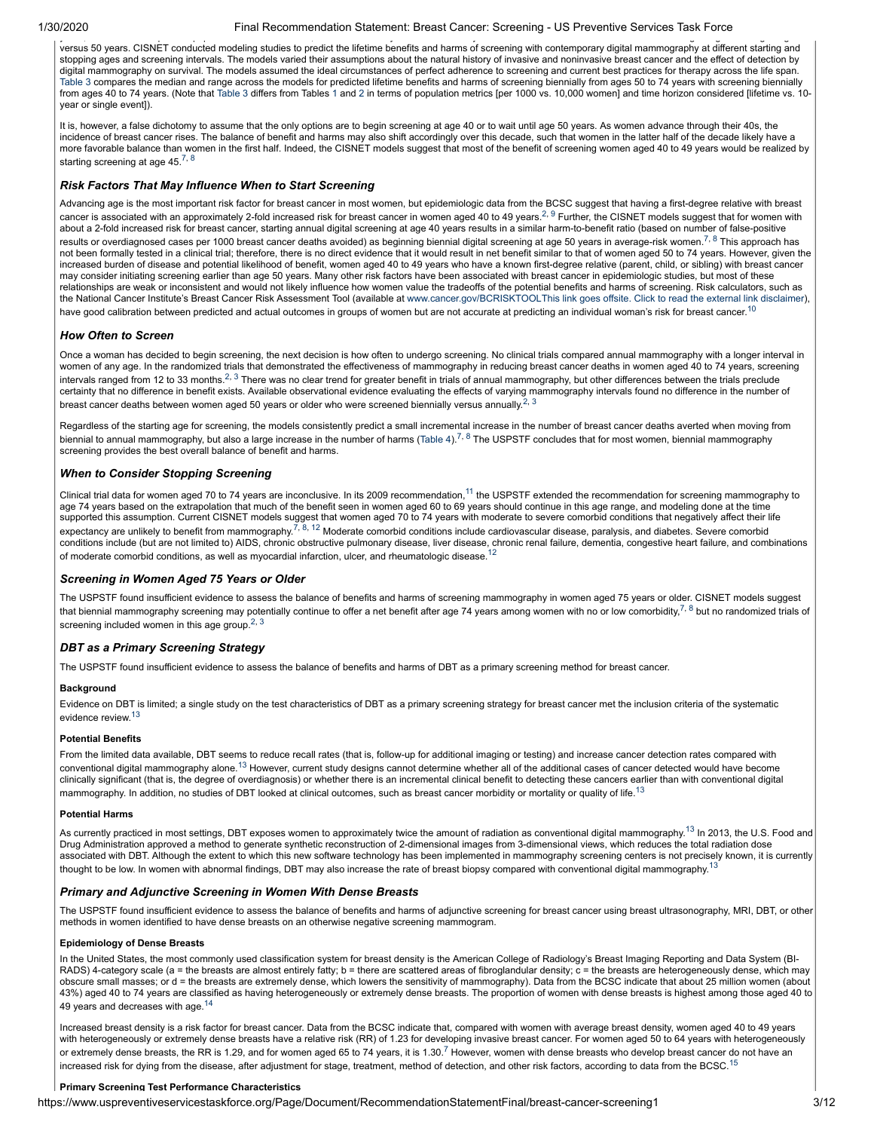y , p p p , y y g g g g versus 50 years. CISNET conducted modeling studies to predict the lifetime benefits and harms of screening with contemporary digital mammography at different starting and stopping ages and screening intervals. The models varied their assumptions about the natural history of invasive and noninvasive breast cancer and the effect of detection by digital mammography on survival. The models assumed the ideal circumstances of perfect adherence to screening and current best practices for therapy across the life span. [Table 3](#page-11-0) compares the median and range across the models for predicted lifetime benefits and harms of screening biennially from ages 50 to 74 years with screening biennially from ages 40 to 74 years. (Note that [Table 3](#page-11-0) differs from Tables [1](#page-10-0) and [2](#page-10-2) in terms of population metrics [per 1000 vs. 10,000 women] and time horizon considered [lifetime vs. 10year or single event]).

It is, however, a false dichotomy to assume that the only options are to begin screening at age 40 or to wait until age 50 years. As women advance through their 40s, the incidence of breast cancer rises. The balance of benefit and harms may also shift accordingly over this decade, such that women in the latter half of the decade likely have a more favorable balance than women in the first half. Indeed, the CISNET models suggest that most of the benefit of screening women aged 40 to 49 years would be realized by starting screening at age  $45.^{7,8}$  $45.^{7,8}$  $45.^{7,8}$  $45.^{7,8}$  $45.^{7,8}$ 

#### *Risk Factors That May Influence When to Start Screening*

Advancing age is the most important risk factor for breast cancer in most women, but epidemiologic data from the BCSC suggest that having a first-degree relative with breast cancer is associated with an approximately 2-fold increased risk for breast cancer in women aged 40 to 49 years. $^{2,9}$  Further, the CISNET models suggest that for women with about a 2-fold increased risk for breast cancer, starting annual digital screening at age 40 years results in a similar harm-to-benefit ratio (based on number of false-positive results or overdiagnosed cases per 1000 breast cancer deaths avoided) as beginning biennial digital screening at age 50 years in average-risk women.<sup>7,8</sup> This approach has not been formally tested in a clinical trial; therefore, there is no direct evidence that it would result in net benefit similar to that of women aged 50 to 74 years. However, given the increased burden of disease and potential likelihood of benefit, women aged 40 to 49 years who have a known first-degree relative (parent, child, or sibling) with breast cancer may consider initiating screening earlier than age 50 years. Many other risk factors have been associated with breast cancer in epidemiologic studies, but most of these relationships are weak or inconsistent and would not likely influence how women value the tradeoffs of the potential benefits and harms of screening. Risk calculators, such as<br>the National Cancer Institute's Breast Cancer have good calibration between predicted and actual outcomes in groups of women but are not accurate at predicting an individual woman's risk for breast cancer. <sup>[10](#page-8-2)</sup>

# *How Often to Screen*

Once a woman has decided to begin screening, the next decision is how often to undergo screening. No clinical trials compared annual mammography with a longer interval in women of any age. In the randomized trials that demonstrated the effectiveness of mammography in reducing breast cancer deaths in women aged 40 to 74 years, screening intervals ranged from 12 to 33 months.<sup>[2,](#page-8-2) [3](#page-8-2)</sup> There was no clear trend for greater benefit in trials of annual mammography, but other differences between the trials preclude certainty that no difference in benefit exists. Available observational evidence evaluating the effects of varying mammography intervals found no difference in the number of breast cancer deaths between women aged 50 years or older who were screened biennially versus annually. $^{2,\,3}$  $^{2,\,3}$  $^{2,\,3}$  $^{2,\,3}$  $^{2,\,3}$ 

Regardless of the starting age for screening, the models consistently predict a small incremental increase in the number of breast cancer deaths averted when moving from biennial to annual mammography, but also a large increase in the number of harms [\(Table 4](#page-11-1)). $^{7,8}$  $^{7,8}$  $^{7,8}$  $^{7,8}$  The USPSTF concludes that for most women, biennial mammography screening provides the best overall balance of benefit and harms.

### *When to Consider Stopping Screening*

Clinical trial data for women aged 70 to 74 years are inconclusive. In its 2009 recommendation,<sup>[11](#page-8-2)</sup> the USPSTF extended the recommendation for screening mammography to age 74 years based on the extrapolation that much of the benefit seen in women aged 60 to 69 years should continue in this age range, and modeling done at the time supported this assumption. Current CISNET models suggest that women aged 70 to 74 years with moderate to severe comorbid conditions that negatively affect their life expectancy are unlikely to benefit from mammography.<sup>[7,](#page-8-2) [8](#page-8-2), [12](#page-8-2)</sup> Moderate comorbid conditions include cardiovascular disease, paralysis, and diabetes. Severe comorbid conditions include (but are not limited to) AIDS, chronic obstructive pulmonary disease, liver disease, chronic renal failure, dementia, congestive heart failure, and combinations of moderate comorbid conditions, as well as myocardial infarction, ulcer, and rheumatologic disease.<sup>[12](#page-8-2)</sup>

#### *Screening in Women Aged 75 Years or Older*

The USPSTF found insufficient evidence to assess the balance of benefits and harms of screening mammography in women aged 75 years or older. CISNET models suggest that biennial mammography screening may potentially continue to offer a net benefit after age 74 years among women with no or low comorbidity,<sup>[7,](#page-8-2)[8](#page-8-2)</sup> but no randomized trials of screening included women in this age group.<sup>[2, 3](#page-8-2)</sup>

# *DBT as a Primary Screening Strategy*

The USPSTF found insufficient evidence to assess the balance of benefits and harms of DBT as a primary screening method for breast cancer.

#### **Background**

Evidence on DBT is limited; a single study on the test characteristics of DBT as a primary screening strategy for breast cancer met the inclusion criteria of the systematic evidence review.<sup>[13](#page-8-2)</sup>

#### **Potential Benefits**

From the limited data available, DBT seems to reduce recall rates (that is, follow-up for additional imaging or testing) and increase cancer detection rates compared with conventional digital mammography alone.<sup>[13](#page-8-2)</sup> However, current study designs cannot determine whether all of the additional cases of cancer detected would have become clinically significant (that is, the degree of overdiagnosis) or whether there is an incremental clinical benefit to detecting these cancers earlier than with conventional digital mammography. In addition, no studies of DBT looked at clinical outcomes, such as breast cancer morbidity or mortality or quality of life.<sup>[13](#page-8-2)</sup>

#### **Potential Harms**

As currently practiced in most settings, DBT exposes women to approximately twice the amount of radiation as conventional digital mammography.<sup>[13](#page-8-2)</sup> In 2013, the U.S. Food and Drug Administration approved a method to generate synthetic reconstruction of 2-dimensional images from 3-dimensional views, which reduces the total radiation dose associated with DBT. Although the extent to which this new software technology has been implemented in mammography screening centers is not precisely known, it is currently thought to be low. In women with abnormal findings, DBT may also increase the rate of breast biopsy compared with conventional digital mammography.<sup>[13](#page-8-2)</sup>

#### *Primary and Adjunctive Screening in Women With Dense Breasts*

The USPSTF found insufficient evidence to assess the balance of benefits and harms of adjunctive screening for breast cancer using breast ultrasonography, MRI, DBT, or other methods in women identified to have dense breasts on an otherwise negative screening mammogram.

#### **Epidemiology of Dense Breasts**

In the United States, the most commonly used classification system for breast density is the American College of Radiology's Breast Imaging Reporting and Data System (BI-<br>RADS) 4-category scale (a = the breasts are almost obscure small masses; or d = the breasts are extremely dense, which lowers the sensitivity of mammography). Data from the BCSC indicate that about 25 million women (about 43%) aged 40 to 74 years are classified as having heterogeneously or extremely dense breasts. The proportion of women with dense breasts is highest among those aged 40 to 49 years and decreases with age.<sup>[14](#page-8-2)</sup>

Increased breast density is a risk factor for breast cancer. Data from the BCSC indicate that, compared with women with average breast density, women aged 40 to 49 years with heterogeneously or extremely dense breasts have a relative risk (RR) of 1.23 for developing invasive breast cancer. For women aged 50 to 64 years with heterogeneously or extremely dense breasts, the RR is 1.29, and for women aged 65 to [7](#page-8-2)4 years, it is 1.30.<sup>7</sup> However, women with dense breasts who develop breast cancer do not have an increased risk for dying from the disease, after adjustment for stage, treatment, method of detection, and other risk factors, according to data from the BCSC.<sup>[15](#page-8-2)</sup>

### **Primary Screening Test Performance Characteristics**

https://www.uspreventiveservicestaskforce.org/Page/Document/RecommendationStatementFinal/breast-cancer-screening1 3/12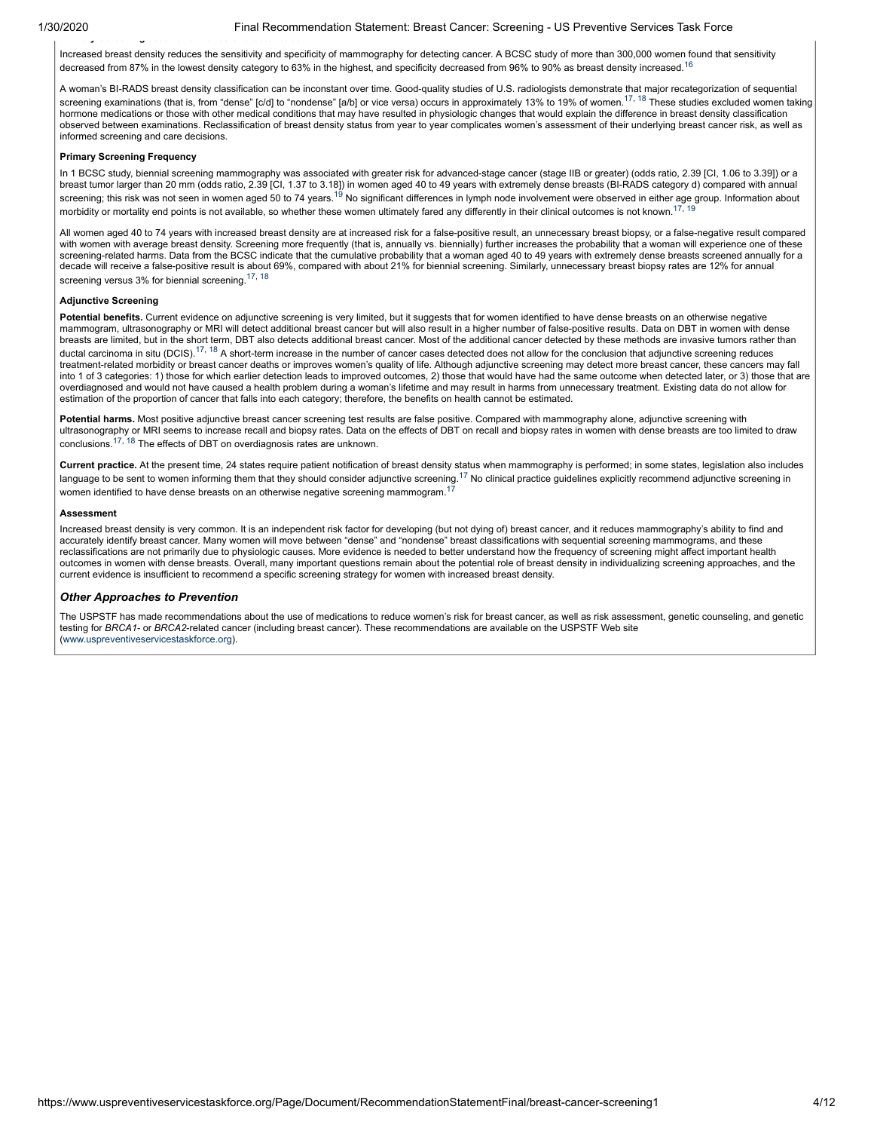**a y Sc ee g est e o a ce C a acte st cs**

Increased breast density reduces the sensitivity and specificity of mammography for detecting cancer. A BCSC study of more than 300,000 women found that sensitivity decreased from 87% in the lowest density category to 63% in the highest, and specificity decreased from 96% to 90% as breast density increased.<sup>[16](#page-8-2)</sup>

A woman's BI-RADS breast density classification can be inconstant over time. Good-quality studies of U.S. radiologists demonstrate that major recategorization of sequential screening examinations (that is, from "dense"  $\lceil c/d \rceil$  to "nondense"  $\lceil a/b \rceil$  or vice versa) occurs in approximately 13% to 19% of women.<sup>[17,](#page-8-2) [18](#page-8-2)</sup> These studies excluded women taking hormone medications or those with other medical conditions that may have resulted in physiologic changes that would explain the difference in breast density classification observed between examinations. Reclassification of breast density status from year to year complicates women's assessment of their underlying breast cancer risk, as well as informed screening and care decisions.

#### **Primary Screening Frequency**

In 1 BCSC study, biennial screening mammography was associated with greater risk for advanced-stage cancer (stage IIB or greater) (odds ratio, 2.39 [CI, 1.06 to 3.39]) or a breast tumor larger than 20 mm (odds ratio, 2.39 [CI, 1.37 to 3.18]) in women aged 40 to 49 years with extremely dense breasts (BI-RADS category d) compared with annual screening; this risk was not seen in women aged 50 to 74 years.<sup>[19](#page-8-2)</sup> No significant differences in lymph node involvement were observed in either age group. Information about morbidity or mortality end points is not available, so whether these women ultimately fared any differently in their clinical outcomes is not known.<sup>[17](#page-8-2), 1</sup>

All women aged 40 to 74 years with increased breast density are at increased risk for a false-positive result, an unnecessary breast biopsy, or a false-negative result compared with women with average breast density. Screening more frequently (that is, annually vs. biennially) further increases the probability that a woman will experience one of these screening-related harms. Data from the BCSC indicate that the cumulative probability that a woman aged 40 to 49 years with extremely dense breasts screened annually for a decade will receive a false-positive result is about 69%, compared with about 21% for biennial screening. Similarly, unnecessary breast biopsy rates are 12% for annual screening versus 3% for biennial screening.<sup>[17](#page-8-2), [18](#page-8-2)</sup>

#### **Adjunctive Screening**

Potential benefits. Current evidence on adjunctive screening is very limited, but it suggests that for women identified to have dense breasts on an otherwise negative mammogram, ultrasonography or MRI will detect additional breast cancer but will also result in a higher number of false-positive results. Data on DBT in women with dense breasts are limited, but in the short term, DBT also detects additional breast cancer. Most of the additional cancer detected by these methods are invasive tumors rather than ductal carcinoma in situ (DCIS).<sup>[17](#page-8-2), [18](#page-8-2)</sup> A short-term increase in the number of cancer cases detected does not allow for the conclusion that adjunctive screening reduces treatment-related morbidity or breast cancer deaths or improves women's quality of life. Although adjunctive screening may detect more breast cancer, these cancers may fall into 1 of 3 categories: 1) those for which earlier detection leads to improved outcomes, 2) those that would have had the same outcome when detected later, or 3) those that are overdiagnosed and would not have caused a health problem during a woman's lifetime and may result in harms from unnecessary treatment. Existing data do not allow for estimation of the proportion of cancer that falls into each category; therefore, the benefits on health cannot be estimated.

**Potential harms.** Most positive adjunctive breast cancer screening test results are false positive. Compared with mammography alone, adjunctive screening with<br>ultrasonography or MRI seems to increase recall and biopsy rat conclusions.<sup>[17](#page-8-2), [18](#page-8-2)</sup> The effects of DBT on overdiagnosis rates are unknown.

**Current practice.** At the present time, 24 states require patient notification of breast density status when mammography is performed; in some states, legislation also includes language to be sent to women informing them that they should consider adjunctive screening.<sup>[17](#page-8-2)</sup> No clinical practice guidelines explicitly recommend adjunctive screening in women identified to have dense breasts on an otherwise negative screening mammogram.<sup>[17](#page-8-2)</sup>

#### **Assessment**

Increased breast density is very common. It is an independent risk factor for developing (but not dying of) breast cancer, and it reduces mammography's ability to find and accurately identify breast cancer. Many women will move between "dense" and "nondense" breast classifications with sequential screening mammograms, and these reclassifications are not primarily due to physiologic causes. More evidence is needed to better understand how the frequency of screening might affect important health outcomes in women with dense breasts. Overall, many important questions remain about the potential role of breast density in individualizing screening approaches, and the current evidence is insufficient to recommend a specific screening strategy for women with increased breast density.

#### *Other Approaches to Prevention*

The USPSTF has made recommendations about the use of medications to reduce women's risk for breast cancer, as well as risk assessment, genetic counseling, and genetic testing for *BRCA1-* or *BRCA2*-related cancer (including breast cancer). These recommendations are available on the USPSTF Web site [\(www.uspreventiveservicestaskforce.org\)](https://www.uspreventiveservicestaskforce.org/).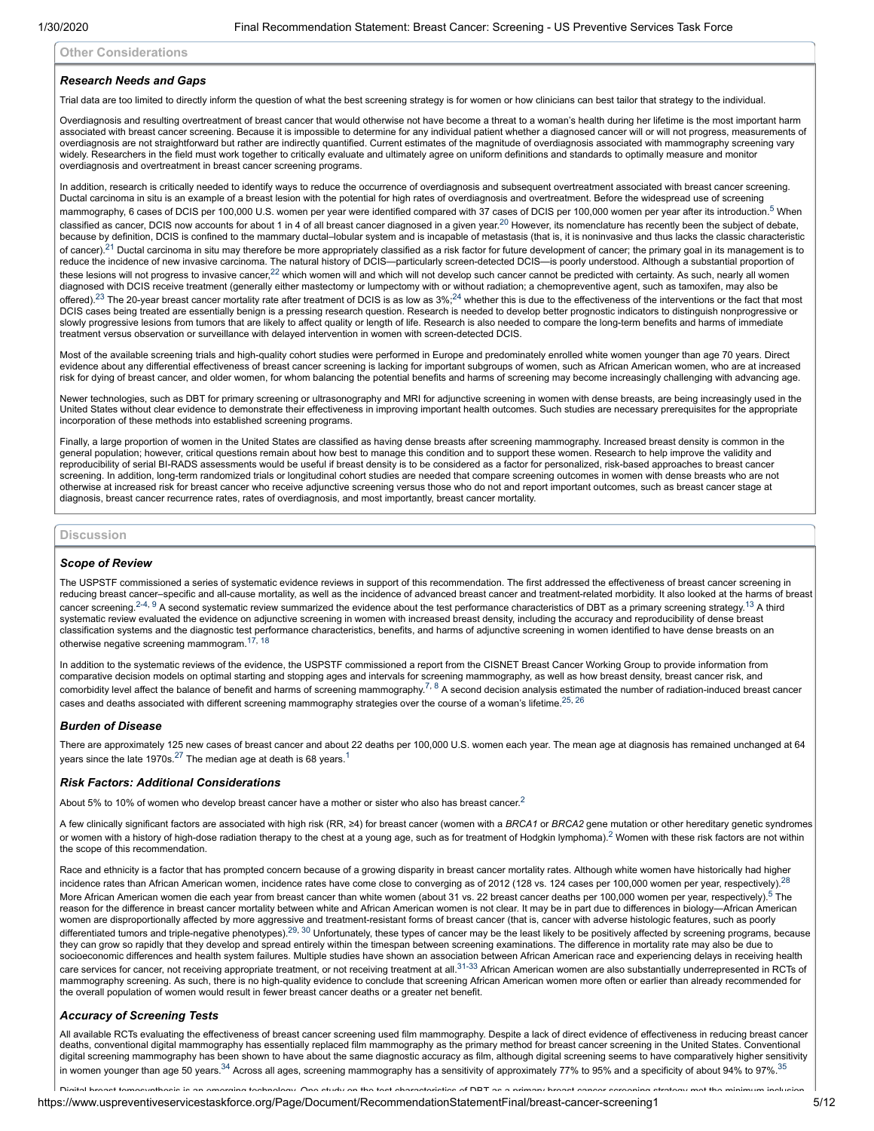<span id="page-4-0"></span>**Other Considerations**

#### *Research Needs and Gaps*

Trial data are too limited to directly inform the question of what the best screening strategy is for women or how clinicians can best tailor that strategy to the individual.

Overdiagnosis and resulting overtreatment of breast cancer that would otherwise not have become a threat to a woman's health during her lifetime is the most important harm associated with breast cancer screening. Because it is impossible to determine for any individual patient whether a diagnosed cancer will or will not progress, measurements of overdiagnosis are not straightforward but rather are indirectly quantified. Current estimates of the magnitude of overdiagnosis associated with mammography screening vary widely. Researchers in the field must work together to critically evaluate and ultimately agree on uniform definitions and standards to optimally measure and monitor overdiagnosis and overtreatment in breast cancer screening programs.

In addition, research is critically needed to identify ways to reduce the occurrence of overdiagnosis and subsequent overtreatment associated with breast cancer screening. Ductal carcinoma in situ is an example of a breast lesion with the potential for high rates of overdiagnosis and overtreatment. Before the widespread use of screening mammography, 6 cases of DCIS per 100,000 U.S. women per year were identified compared with 37 cases of DCIS per 100,000 women per year after its introduction.<sup>[5](#page-8-2)</sup> When classified as cancer, DCIS now accounts for about 1 in 4 of all breast cancer diagnosed in a given year.<sup>[20](#page-8-2)</sup> However, its nomenclature has recently been the subject of debate, because by definition, DCIS is confined to the mammary ductal–lobular system and is incapable of metastasis (that is, it is noninvasive and thus lacks the classic characteristic of cancer).<sup>[21](#page-8-2)</sup> Ductal carcinoma in situ may therefore be more appropriately classified as a risk factor for future development of cancer; the primary goal in its management is to reduce the incidence of new invasive carcinoma. The natural history of DCIS—particularly screen-detected DCIS—is poorly understood. Although a substantial proportion of these lesions will not progress to invasive cancer,<sup>[22](#page-8-2)</sup> which women will and which will not develop such cancer cannot be predicted with certainty. As such, nearly all women diagnosed with DCIS receive treatment (generally either mastectomy or lumpectomy with or without radiation; a chemopreventive agent, such as tamoxifen, may also be offered).<sup>[23](#page-8-2)</sup> The 20-year breast cancer mortality rate after treatment of DCIS is as low as 3%;<sup>[24](#page-8-2)</sup> whether this is due to the effectiveness of the interventions or the fact that most DCIS cases being treated are essentially benign is a pressing research question. Research is needed to develop better prognostic indicators to distinguish nonprogressive or slowly progressive lesions from tumors that are likely to affect quality or length of life. Research is also needed to compare the long-term benefits and harms of immediate treatment versus observation or surveillance with delayed intervention in women with screen-detected DCIS.

Most of the available screening trials and high-quality cohort studies were performed in Europe and predominately enrolled white women younger than age 70 years. Direct evidence about any differential effectiveness of breast cancer screening is lacking for important subgroups of women, such as African American women, who are at increased risk for dying of breast cancer, and older women, for whom balancing the potential benefits and harms of screening may become increasingly challenging with advancing age.

Newer technologies, such as DBT for primary screening or ultrasonography and MRI for adjunctive screening in women with dense breasts, are being increasingly used in the United States without clear evidence to demonstrate their effectiveness in improving important health outcomes. Such studies are necessary prerequisites for the appropriate incorporation of these methods into established screening programs.

Finally, a large proportion of women in the United States are classified as having dense breasts after screening mammography. Increased breast density is common in the general population; however, critical questions remain about how best to manage this condition and to support these women. Research to help improve the validity and reproducibility of serial BI-RADS assessments would be useful if breast density is to be considered as a factor for personalized, risk-based approaches to breast cancer screening. In addition, long-term randomized trials or longitudinal cohort studies are needed that compare screening outcomes in women with dense breasts who are not otherwise at increased risk for breast cancer who receive adjunctive screening versus those who do not and report important outcomes, such as breast cancer stage at diagnosis, breast cancer recurrence rates, rates of overdiagnosis, and most importantly, breast cancer mortality.

### <span id="page-4-1"></span>**Discussion**

#### *Scope of Review*

The USPSTF commissioned a series of systematic evidence reviews in support of this recommendation. The first addressed the effectiveness of breast cancer screening in reducing breast cancer–specific and all-cause mortality, as well as the incidence of advanced breast cancer and treatment-related morbidity. It also looked at the harms of breast cancer screening.<sup>[2-4](#page-8-2), [9](#page-8-2)</sup> A second systematic review summarized the evidence about the test performance characteristics of DBT as a primary screening strategy.<sup>[13](#page-8-2)</sup> A third systematic review evaluated the evidence on adjunctive screening in women with increased breast density, including the accuracy and reproducibility of dense breast classification systems and the diagnostic test performance characteristics, benefits, and harms of adjunctive screening in women identified to have dense breasts on an otherwise negative screening mammogram.<sup>[17](#page-8-2), [18](#page-8-2)</sup>

In addition to the systematic reviews of the evidence, the USPSTF commissioned a report from the CISNET Breast Cancer Working Group to provide information from comparative decision models on optimal starting and stopping ages and intervals for screening mammography, as well as how breast density, breast cancer risk, and comorbidity level affect the balance of benefit and harms of screening mammography.<sup>[7](#page-8-2), [8](#page-8-2)</sup> A second decision analysis estimated the number of radiation-induced breast cancer cases and deaths associated with different screening mammography strategies over the course of a woman's lifetime.<sup>[25](#page-8-2), [26](#page-8-2)</sup>

#### *Burden of Disease*

There are approximately 125 new cases of breast cancer and about 22 deaths per 100,000 U.S. women each year. The mean age at diagnosis has remained unchanged at 64 vears since the late 1970s.<sup>[27](#page-8-2)</sup> The median age at death is 68 years.<sup>[1](#page-8-2)</sup>

#### *Risk Factors: Additional Considerations*

About 5% to 10% of women who develop breast cancer have a mother or sister who also has breast cancer.<sup>[2](#page-8-2)</sup>

A few clinically significant factors are associated with high risk (RR, ≥4) for breast cancer (women with a *BRCA1* or *BRCA2* gene mutation or other hereditary genetic syndromes or women with a history of high-dose radiation therapy to the chest at a young age, such as for treatment of Hodgkin lymphoma). $^2$  $^2$  Women with these risk factors are not within the scope of this recommendation.

Race and ethnicity is a factor that has prompted concern because of a growing disparity in breast cancer mortality rates. Although white women have historically had higher incidence rates than African American women, incidence rates have come close to converging as of 2012 (1[28](#page-8-2) vs. 124 cases per 100,000 women per year, respectively).<sup>28</sup> More African American women die each year from breast cancer than white women (about 31 vs. 22 breast cancer deaths per 100,000 women per year, respectively).<sup>[5](#page-8-2)</sup> The reason for the difference in breast cancer mortality between white and African American women is not clear. It may be in part due to differences in biology—African American women are disproportionally affected by more aggressive and treatment-resistant forms of breast cancer (that is, cancer with adverse histologic features, such as poorly differentiated tumors and triple-negative phenotypes).<sup>[29](#page-8-2), [30](#page-8-2)</sup> Unfortunately, these types of cancer may be the least likely to be positively affected by screening programs, because they can grow so rapidly that they develop and spread entirely within the timespan between screening examinations. The difference in mortality rate may also be due to socioeconomic differences and health system failures. Multiple studies have shown an association between African American race and experiencing delays in receiving health care services for cancer, not receiving appropriate treatment, or not receiving treatment at all.<sup>[31-33](#page-8-2)</sup> African American women are also substantially underrepresented in RCTs of mammography screening. As such, there is no high-quality evidence to conclude that screening African American women more often or earlier than already recommended for the overall population of women would result in fewer breast cancer deaths or a greater net benefit.

#### *Accuracy of Screening Tests*

All available RCTs evaluating the effectiveness of breast cancer screening used film mammography. Despite a lack of direct evidence of effectiveness in reducing breast cancer deaths, conventional digital mammography has essentially replaced film mammography as the primary method for breast cancer screening in the United States. Conventional digital screening mammography has been shown to have about the same diagnostic accuracy as film, although digital screening seems to have comparatively higher sensitivity in women younger than age 50 years.<sup>[34](#page-8-2)</sup> Across all ages, screening mammography has a sensitivity of approximately 77% to 95% and a specificity of about 94% to 97%.<sup>[35](#page-8-2)</sup>

https://www.uspreventiveservicestaskforce.org/Page/Document/RecommendationStatementFinal/breast-cancer-screening1 5/12 .<br>Ina taabhalaau. Ona atudu on the taat abaraatariatiae af DBT as a primary breast cancer sereaning strategy met the minimum inclusion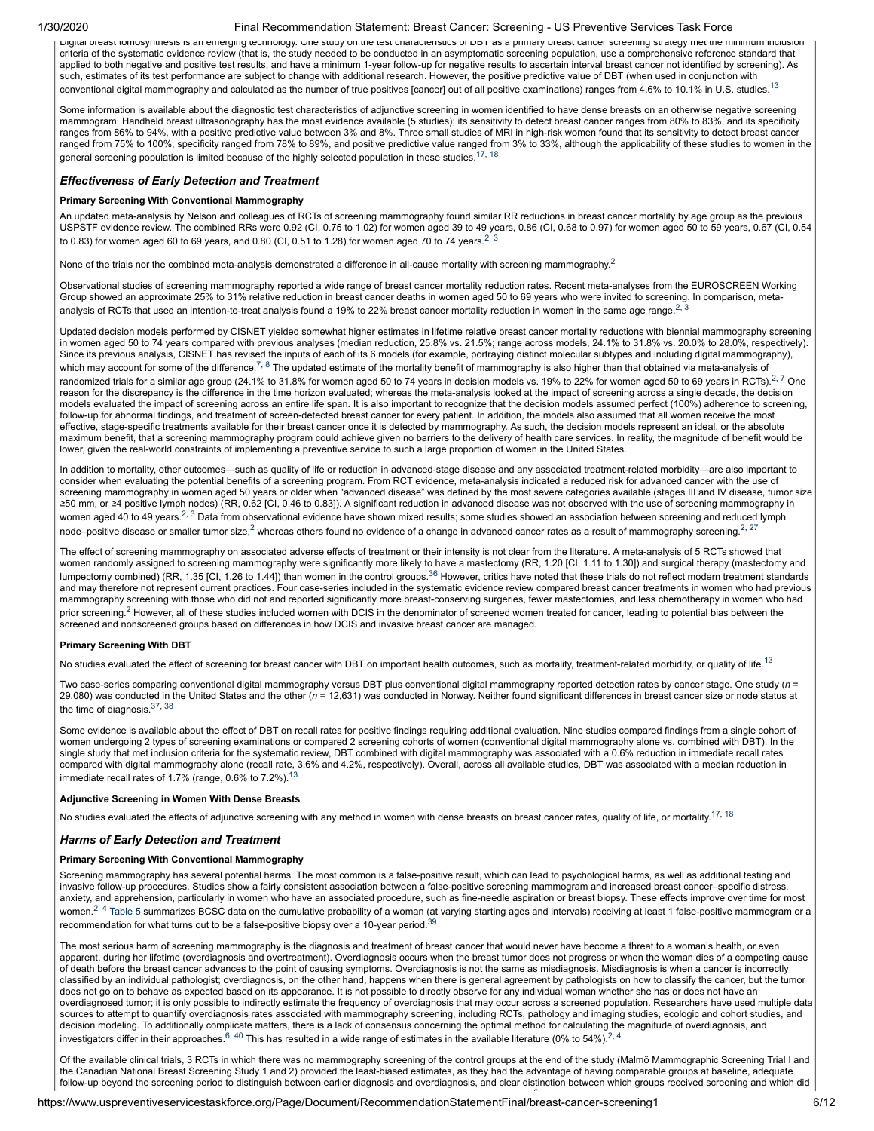Digital breast tomosynthesis is an emerging technology. One study on the test characteristics of DBT as a primary breast cancer screening strategy met the minimum inclusion criteria of the systematic evidence review (that is, the study needed to be conducted in an asymptomatic screening population, use a comprehensive reference standard that applied to both negative and positive test results, and have a minimum 1-year follow-up for negative results to ascertain interval breast cancer not identified by screening). As such, estimates of its test performance are subject to change with additional research. However, the positive predictive value of DBT (when used in conjunction with conventional digital mammography and calculated as the number of true positives [cancer] out of all positive examinations) ranges from 4.6% to 10.1% in U.S. studies.<sup>[13](#page-8-2)</sup>

Some information is available about the diagnostic test characteristics of adjunctive screening in women identified to have dense breasts on an otherwise negative screening mammogram. Handheld breast ultrasonography has the most evidence available (5 studies); its sensitivity to detect breast cancer ranges from 80% to 83%, and its specificity ranges from 86% to 94%, with a positive predictive value between 3% and 8%. Three small studies of MRI in high-risk women found that its sensitivity to detect breast cancer ranged from 75% to 100%, specificity ranged from 78% to 89%, and positive predictive value ranged from 3% to 33%, although the applicability of these studies to women in the general screening population is limited because of the highly selected population in these studies.<sup>[17, 18](#page-8-2)</sup>

#### *Effectiveness of Early Detection and Treatment*

#### **Primary Screening With Conventional Mammography**

An updated meta-analysis by Nelson and colleagues of RCTs of screening mammography found similar RR reductions in breast cancer mortality by age group as the previous USPSTF evidence review. The combined RRs were 0.92 (CI, 0.75 to 1.02) for women aged 39 to 49 years, 0.86 (CI, 0.68 to 0.97) for women aged 50 to 59 years, 0.67 (CI, 0.54 to 0.83) for women aged 60 to 69 years, and 0.80 (CI, 0.51 to 1.28) for women aged 70 to 74 years.<sup>[2,](#page-8-2) [3](#page-8-2)</sup>

None of the trials nor the combined meta-analysis demonstrated a difference in all-cause mortality with screening mammography.<sup>[2](#page-8-2)</sup>

Observational studies of screening mammography reported a wide range of breast cancer mortality reduction rates. Recent meta-analyses from the EUROSCREEN Working Group showed an approximate 25% to 31% relative reduction in breast cancer deaths in women aged 50 to 69 years who were invited to screening. In comparison, meta-analysis of RCTs that used an intention-to-treat analysis found a 19% to [2](#page-8-2)2% breast cancer mortality reduction in women in the same age range.<sup>2</sup>

Updated decision models performed by CISNET yielded somewhat higher estimates in lifetime relative breast cancer mortality reductions with biennial mammography screening in women aged 50 to 74 years compared with previous analyses (median reduction, 25.8% vs. 21.5%; range across models, 24.1% to 31.8% vs. 20.0% to 28.0%, respectively). Since its previous analysis, CISNET has revised the inputs of each of its 6 models (for example, portraying distinct molecular subtypes and including digital mammography), which may account for some of the difference.<sup>[7, 8](#page-8-2)</sup> The updated estimate of the mortality benefit of mammography is also higher than that obtained via meta-analysis of randomized trials for a similar age group (24.1% to 31.8% for women aged 50 to [7](#page-8-2)4 years in decision models vs. 19% to 22% for women aged 50 to 69 years in RCTs). $^{2,7}$  $^{2,7}$  $^{2,7}$  One reason for the discrepancy is the difference in the time horizon evaluated; whereas the meta-analysis looked at the impact of screening across a single decade, the decision models evaluated the impact of screening across an entire life span. It is also important to recognize that the decision models assumed perfect (100%) adherence to screening, follow-up for abnormal findings, and treatment of screen-detected breast cancer for every patient. In addition, the models also assumed that all women receive the most effective, stage-specific treatments available for their breast cancer once it is detected by mammography. As such, the decision models represent an ideal, or the absolute maximum benefit, that a screening mammography program could achieve given no barriers to the delivery of health care services. In reality, the magnitude of benefit would be lower, given the real-world constraints of implementing a preventive service to such a large proportion of women in the United States.

In addition to mortality, other outcomes—such as quality of life or reduction in advanced-stage disease and any associated treatment-related morbidity—are also important to consider when evaluating the potential benefits of a screening program. From RCT evidence, meta-analysis indicated a reduced risk for advanced cancer with the use of screening mammography in women aged 50 years or older when "advanced disease" was defined by the most severe categories available (stages III and IV disease, tumor size ≥50 mm, or ≥4 positive lymph nodes) (RR, 0.62 [CI, 0.46 to 0.83]). A significant reduction in advanced disease was not observed with the use of screening mammography in women aged 40 to 49 years.<sup>[2](#page-8-2), [3](#page-8-2)</sup> Data from observational evidence have shown mixed results; some studies showed an association between screening and reduced lymph node–positive disease or smaller tumor size,<sup>[2](#page-8-2)</sup> whereas others found no evidence of a change in advanced cancer rates as a result of mammography screening.<sup>2, [27](#page-8-2)</sup>

The effect of screening mammography on associated adverse effects of treatment or their intensity is not clear from the literature. A meta-analysis of 5 RCTs showed that women randomly assigned to screening mammography were significantly more likely to have a mastectomy (RR, 1.20 [CI, 1.11 to 1.30]) and surgical therapy (mastectomy and lumpectomy combined) (RR, 1.35 [CI, 1.26 to 1.44]) than women in the control groups.<sup>[36](#page-8-2)</sup> However, critics have noted that these trials do not reflect modern treatment standards and may therefore not represent current practices. Four case-series included in the systematic evidence review compared breast cancer treatments in women who had previous mammography screening with those who did not and reported significantly more breast-conserving surgeries, fewer mastectomies, and less chemotherapy in women who had prior screening.<sup>[2](#page-8-2)</sup> However, all of these studies included women with DCIS in the denominator of screened women treated for cancer, leading to potential bias between the screened and nonscreened groups based on differences in how DCIS and invasive breast cancer are managed.

#### **Primary Screening With DBT**

No studies evaluated the effect of screening for breast cancer with DBT on important health outcomes, such as mortality, treatment-related morbidity, or quality of life.<sup>[13](#page-8-2)</sup>

Two case-series comparing conventional digital mammography versus DBT plus conventional digital mammography reported detection rates by cancer stage. One study (*n* = 29,080) was conducted in the United States and the other ( $n = 12,631$ ) was conducted in Norway. Neither found significant differences in breast cancer size or node status at the time of diagnosis. [37](#page-8-2), [38](#page-8-2)

Some evidence is available about the effect of DBT on recall rates for positive findings requiring additional evaluation. Nine studies compared findings from a single cohort of women undergoing 2 types of screening examinations or compared 2 screening cohorts of women (conventional digital mammography alone vs. combined with DBT). In the single study that met inclusion criteria for the systematic review, DBT combined with digital mammography was associated with a 0.6% reduction in immediate recall rates compared with digital mammography alone (recall rate, 3.6% and 4.2%, respectively). Overall, across all available studies, DBT was associated with a median reduction in immediate recall rates of 1.7% (range, 0.6% to 7.2%). $^{13}$  $^{13}$  $^{13}$ 

#### **Adjunctive Screening in Women With Dense Breasts**

No studies evaluated the effects of adjunctive screening with any method in women with dense breasts on breast cancer rates, quality of life, or mortality.<sup>[17,](#page-8-2) [18](#page-8-2)</sup>

#### *Harms of Early Detection and Treatment*

#### **Primary Screening With Conventional Mammography**

Screening mammography has several potential harms. The most common is a false-positive result, which can lead to psychological harms, as well as additional testing and invasive follow-up procedures. Studies show a fairly consistent association between a false-positive screening mammogram and increased breast cancer–specific distress, anxiety, and apprehension, particularly in women who have an associated procedure, such as fine-needle aspiration or breast biopsy. These effects improve over time for most women.<sup>[2,](#page-8-2) [4](#page-8-2)</sup> Table 5 summarizes BCSC data on the cumulative probability of a woman (at varying starting ages and intervals) receiving at least 1 false-positive mammogram or a recommendation for what turns out to be a false-positive biopsy over a 10-year period.<sup>[39](#page-8-2)</sup>

The most serious harm of screening mammography is the diagnosis and treatment of breast cancer that would never have become a threat to a woman's health, or even apparent, during her lifetime (overdiagnosis and overtreatment). Overdiagnosis occurs when the breast tumor does not progress or when the woman dies of a competing cause of death before the breast cancer advances to the point of causing symptoms. Overdiagnosis is not the same as misdiagnosis. Misdiagnosis is when a cancer is incorrectly classified by an individual pathologist; overdiagnosis, on the other hand, happens when there is general agreement by pathologists on how to classify the cancer, but the tumor does not go on to behave as expected based on its appearance. It is not possible to directly observe for any individual woman whether she has or does not have an overdiagnosed tumor; it is only possible to indirectly estimate the frequency of overdiagnosis that may occur across a screened population. Researchers have used multiple data sources to attempt to quantify overdiagnosis rates associated with mammography screening, including RCTs, pathology and imaging studies, ecologic and cohort studies, and decision modeling. To additionally complicate matters, there is a lack of consensus concerning the optimal method for calculating the magnitude of overdiagnosis, and investigators differ in their approaches.<sup>[6](#page-8-2), [40](#page-8-2)</sup> This has resulted in a wide range of estimates in the available literature (0% to 54%).<sup>[2](#page-8-2), [4](#page-8-2)</sup>

Of the available clinical trials, 3 RCTs in which there was no mammography screening of the control groups at the end of the study (Malmö Mammographic Screening Trial I and the Canadian National Breast Screening Study 1 and 2) provided the least-biased estimates, as they had the advantage of having comparable groups at baseline, adequate follow-up beyond the screening period to distinguish between earlier diagnosis and overdiagnosis, and clear distinction between which groups received screening and which did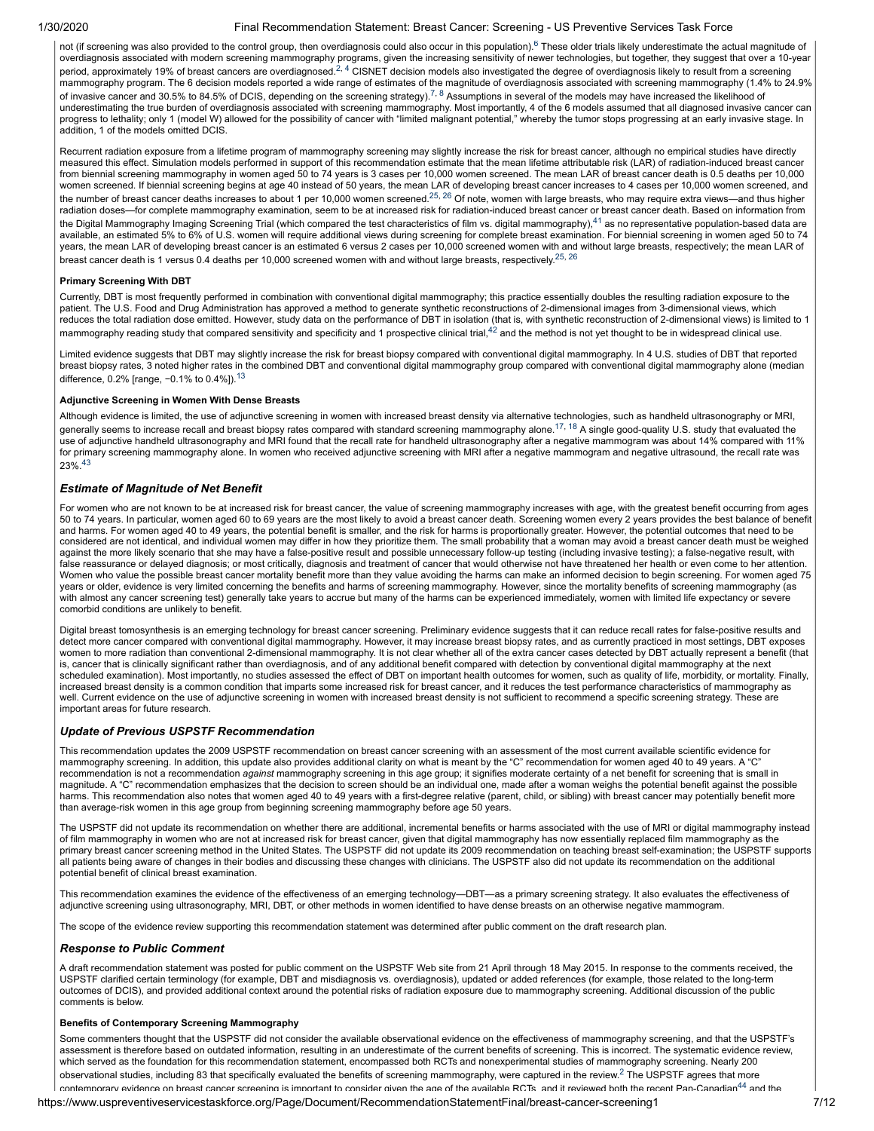not (if screening was also provided to the control group, then overdiagnosis could also occur in this population).<sup>to</sup> These older trials likely underestimate the actual magnitude of<br>overdiagnosis associated with modern sc period, approximately 19% of breast cancers are overdiagnosed.<sup>[2,](#page-8-2) [4](#page-8-2)</sup> CISNET decision models also investigated the degree of overdiagnosis likely to result from a screening mammography program. The 6 decision models reported a wide range of estimates of the magnitude of overdiagnosis associated with screening mammography (1.4% to 24.9% of invasive cancer and 30.5% to 84.5% of DCIS, depending on the screening strategy).<sup>[7,](#page-8-2)[8](#page-8-2)</sup> Assumptions in several of the models may have increased the likelihood of underestimating the true burden of overdiagnosis associated with screening mammography. Most importantly, 4 of the 6 models assumed that all diagnosed invasive cancer can progress to lethality; only 1 (model W) allowed for the possibility of cancer with "limited malignant potential," whereby the tumor stops progressing at an early invasive stage. In addition, 1 of the models omitted DCIS.

Recurrent radiation exposure from a lifetime program of mammography screening may slightly increase the risk for breast cancer, although no empirical studies have directly measured this effect. Simulation models performed in support of this recommendation estimate that the mean lifetime attributable risk (LAR) of radiation-induced breast cancer from biennial screening mammography in women aged 50 to 74 years is 3 cases per 10,000 women screened. The mean LAR of breast cancer death is 0.5 deaths per 10,000 women screened. If biennial screening begins at age 40 instead of 50 years, the mean LAR of developing breast cancer increases to 4 cases per 10,000 women screened, and the number of breast cancer deaths increases to about 1 per 10,000 women screened.<sup>[25](#page-8-2), [26](#page-8-2)</sup> Of note, women with large breasts, who may require extra views—and thus higher radiation doses—for complete mammography examination, seem to be at increased risk for radiation-induced breast cancer or breast cancer death. Based on information from the Digital Mammography Imaging Screening Trial (which compared the test characteristics of film vs. digital mammography),<sup>[41](#page-8-2)</sup> as no representative population-based data are available, an estimated 5% to 6% of U.S. women will require additional views during screening for complete breast examination. For biennial screening in women aged 50 to 74<br>years, the mean LAR of developing breast cancer i breast cancer death is 1 versus 0.4 deaths per 10,000 screened women with and without large breasts, respectively. $^{25,\,26}$  $^{25,\,26}$  $^{25,\,26}$  $^{25,\,26}$  $^{25,\,26}$ 

# **Primary Screening With DBT**

Currently, DBT is most frequently performed in combination with conventional digital mammography; this practice essentially doubles the resulting radiation exposure to the patient. The U.S. Food and Drug Administration has approved a method to generate synthetic reconstructions of 2-dimensional images from 3-dimensional views, which reduces the total radiation dose emitted. However, study data on the performance of DBT in isolation (that is, with synthetic reconstruction of 2-dimensional views) is limited to 1 mammography reading study that compared sensitivity and specificity and 1 prospective clinical trial,  $42$  and the method is not yet thought to be in widespread clinical use.

Limited evidence suggests that DBT may slightly increase the risk for breast biopsy compared with conventional digital mammography. In 4 U.S. studies of DBT that reported breast biopsy rates, 3 noted higher rates in the combined DBT and conventional digital mammography group compared with conventional digital mammography alone (median difference, 0.2% [range, -0.1% to 0.4%]).<sup>[13](#page-8-2)</sup>

# **Adjunctive Screening in Women With Dense Breasts**

Although evidence is limited, the use of adjunctive screening in women with increased breast density via alternative technologies, such as handheld ultrasonography or MRI, generally seems to increase recall and breast biopsy rates compared with standard screening mammography alone.<sup>[17](#page-8-2), [18](#page-8-2)</sup> A single good-quality U.S. study that evaluated the use of adjunctive handheld ultrasonography and MRI found that the recall rate for handheld ultrasonography after a negative mammogram was about 14% compared with 11% for primary screening mammography alone. In women who received adjunctive screening with MRI after a negative mammogram and negative ultrasound, the recall rate was 23%.[43](#page-8-2)

# *Estimate of Magnitude of Net Benefit*

For women who are not known to be at increased risk for breast cancer, the value of screening mammography increases with age, with the greatest benefit occurring from ages 50 to 74 years. In particular, women aged 60 to 69 years are the most likely to avoid a breast cancer death. Screening women every 2 years provides the best balance of benefit and harms. For women aged 40 to 49 years, the potential benefit is smaller, and the risk for harms is proportionally greater. However, the potential outcomes that need to be considered are not identical, and individual women may differ in how they prioritize them. The small probability that a woman may avoid a breast cancer death must be weighed against the more likely scenario that she may have a false-positive result and possible unnecessary follow-up testing (including invasive testing); a false-negative result, with false reassurance or delayed diagnosis; or most critically, diagnosis and treatment of cancer that would otherwise not have threatened her health or even come to her attention. Women who value the possible breast cancer mortality benefit more than they value avoiding the harms can make an informed decision to begin screening. For women aged 75 years or older, evidence is very limited concerning the benefits and harms of screening mammography. However, since the mortality benefits of screening mammography (as with almost any cancer screening test) generally take years to accrue but many of the harms can be experienced immediately, women with limited life expectancy or severe comorbid conditions are unlikely to benefit.

Digital breast tomosynthesis is an emerging technology for breast cancer screening. Preliminary evidence suggests that it can reduce recall rates for false-positive results and detect more cancer compared with conventional digital mammography. However, it may increase breast biopsy rates, and as currently practiced in most settings, DBT exposes women to more radiation than conventional 2-dimensional mammography. It is not clear whether all of the extra cancer cases detected by DBT actually represent a benefit (that is, cancer that is clinically significant rather than overdiagnosis, and of any additional benefit compared with detection by conventional digital mammography at the next scheduled examination). Most importantly, no studies assessed the effect of DBT on important health outcomes for women, such as quality of life, morbidity, or mortality. Finally, increased breast density is a common condition that imparts some increased risk for breast cancer, and it reduces the test performance characteristics of mammography as well. Current evidence on the use of adjunctive screening in women with increased breast density is not sufficient to recommend a specific screening strategy. These are important areas for future research.

# *Update of Previous USPSTF Recommendation*

This recommendation updates the 2009 USPSTF recommendation on breast cancer screening with an assessment of the most current available scientific evidence for mammography screening. In addition, this update also provides additional clarity on what is meant by the "C" recommendation for women aged 40 to 49 years. A "C" recommendation is not a recommendation *against* mammography screening in this age group; it signifies moderate certainty of a net benefit for screening that is small in magnitude. A "C" recommendation emphasizes that the decision to screen should be an individual one, made after a woman weighs the potential benefit against the possible harms. This recommendation also notes that women aged 40 to 49 years with a first-degree relative (parent, child, or sibling) with breast cancer may potentially benefit more than average-risk women in this age group from beginning screening mammography before age 50 years.

The USPSTF did not update its recommendation on whether there are additional, incremental benefits or harms associated with the use of MRI or digital mammography instead of film mammography in women who are not at increased risk for breast cancer, given that digital mammography has now essentially replaced film mammography as the primary breast cancer screening method in the United States. The USPSTF did not update its 2009 recommendation on teaching breast self-examination; the USPSTF supports all patients being aware of changes in their bodies and discussing these changes with clinicians. The USPSTF also did not update its recommendation on the additional potential benefit of clinical breast examination.

This recommendation examines the evidence of the effectiveness of an emerging technology—DBT—as a primary screening strategy. It also evaluates the effectiveness of<br>adjunctive screening using ultrasonography, MRI, DBT, or

The scope of the evidence review supporting this recommendation statement was determined after public comment on the draft research plan.

# *Response to Public Comment*

A draft recommendation statement was posted for public comment on the USPSTF Web site from 21 April through 18 May 2015. In response to the comments received, the USPSTF clarified certain terminology (for example, DBT and misdiagnosis vs. overdiagnosis), updated or added references (for example, those related to the long-term outcomes of DCIS), and provided additional context around the potential risks of radiation exposure due to mammography screening. Additional discussion of the public comments is below.

# **Benefits of Contemporary Screening Mammography**

Some commenters thought that the USPSTF did not consider the available observational evidence on the effectiveness of mammography screening, and that the USPSTF's assessment is therefore based on outdated information, resulting in an underestimate of the current benefits of screening. This is incorrect. The systematic evidence review, which served as the foundation for this recommendation statement, encompassed both RCTs and nonexperimental studies of mammography screening. Nearly 200 observational studies, including 83 that specifically evaluated the benefits of screening mammography, were captured in the review.<sup>[2](#page-8-2)</sup> The USPSTF agrees that more contemporary evidence on breast cancer screening is important to consider given the age of the available RCTs, and it reviewed both the recent Pan-Canadian<sup>[44](#page-8-2)</sup> and the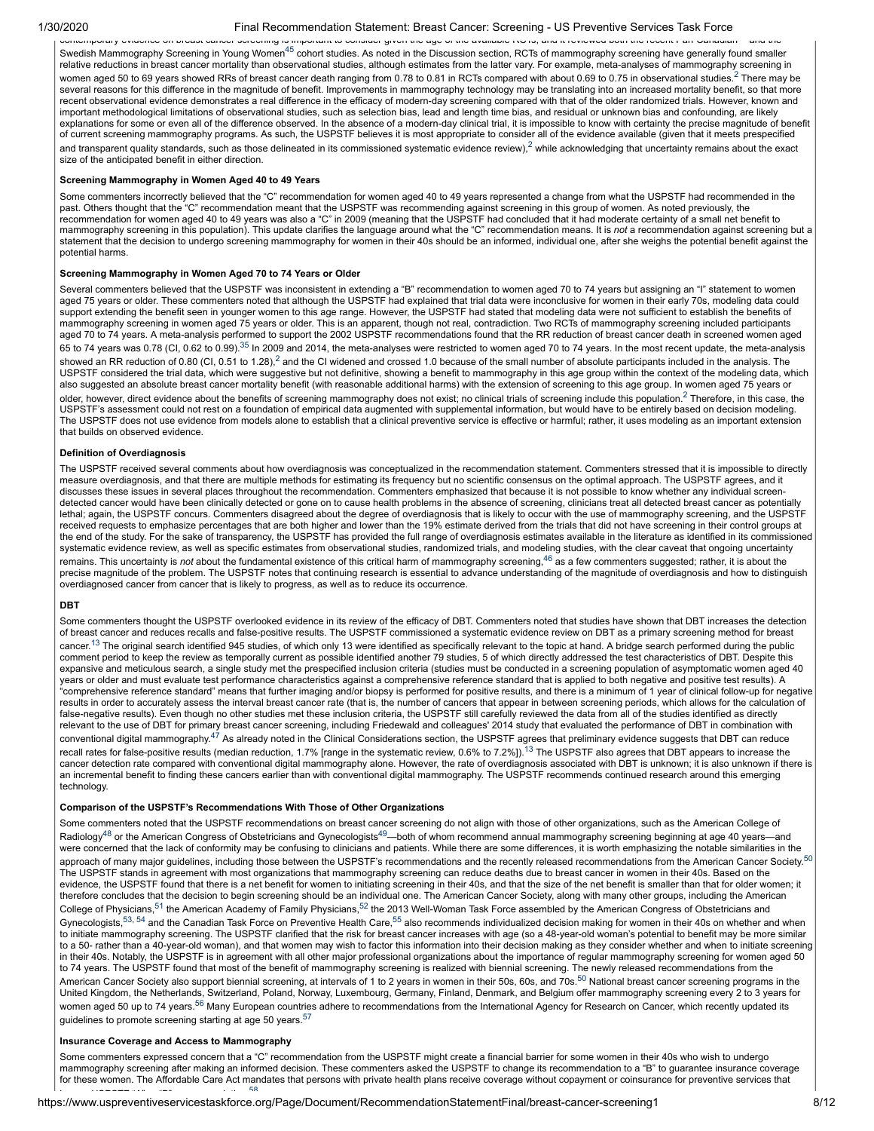contemporary evidence on breast cancer screening is important to consider given the age of the available RCTs, and it reviewed both the recent Pan Canadian and the Swedish Mammography Screening in Young Women<sup>[45](#page-8-2)</sup> cohort studies. As noted in the Discussion section, RCTs of mammography screening have generally found smaller relative reductions in breast cancer mortality than observational studies, although estimates from the latter vary. For example, meta-analyses of mammography screening in women aged 50 to 69 years showed RRs of breast cancer death ranging from 0.78 to 0.81 in RCTs compared with about 0.69 to 0.75 in observational studies.<sup>[2](#page-8-2)</sup> There may be several reasons for this difference in the magnitude of benefit. Improvements in mammography technology may be translating into an increased mortality benefit, so that more recent observational evidence demonstrates a real difference in the efficacy of modern-day screening compared with that of the older randomized trials. However, known and important methodological limitations of observational studies, such as selection bias, lead and length time bias, and residual or unknown bias and confounding, are likely explanations for some or even all of the difference observed. In the absence of a modern-day clinical trial, it is impossible to know with certainty the precise magnitude of benefit of current screening mammography programs. As such, the USPSTF believes it is most appropriate to consider all of the evidence available (given that it meets prespecified and transparent quality standards, such as those delineated in its commissioned systematic evidence review),<sup>[2](#page-8-2)</sup> while acknowledging that uncertainty remains about the exact size of the anticipated benefit in either direction.

#### **Screening Mammography in Women Aged 40 to 49 Years**

Some commenters incorrectly believed that the "C" recommendation for women aged 40 to 49 years represented a change from what the USPSTF had recommended in the past. Others thought that the "C" recommendation meant that the USPSTF was recommending against screening in this group of women. As noted previously, the recommendation for women aged 40 to 49 years was also a "C" in 2009 (meaning that the USPSTF had concluded that it had moderate certainty of a small net benefit to mammography screening in this population). This update clarifies the language around what the "C" recommendation means. It is *not* a recommendation against screening but a statement that the decision to undergo screening mammography for women in their 40s should be an informed, individual one, after she weighs the potential benefit against the potential harms.

#### **Screening Mammography in Women Aged 70 to 74 Years or Older**

Several commenters believed that the USPSTF was inconsistent in extending a "B" recommendation to women aged 70 to 74 years but assigning an "I" statement to women aged 75 years or older. These commenters noted that although the USPSTF had explained that trial data were inconclusive for women in their early 70s, modeling data could support extending the benefit seen in younger women to this age range. However, the USPSTF had stated that modeling data were not sufficient to establish the benefits of mammography screening in women aged 75 years or older. This is an apparent, though not real, contradiction. Two RCTs of mammography screening included participants aged 70 to 74 years. A meta-analysis performed to support the 2002 USPSTF recommendations found that the RR reduction of breast cancer death in screened women aged 65 to 74 years was 0.78 (CI, 0.62 to 0.99).<sup>[35](#page-8-2)</sup> In 2009 and 2014, the meta-analyses were restricted to women aged 70 to 74 years. In the most recent update, the meta-analysis showed an RR reduction of 0.80 (CI, 0.51 to 1.[2](#page-8-2)8), $^2$  and the CI widened and crossed 1.0 because of the small number of absolute participants included in the analysis. The USPSTF considered the trial data, which were suggestive but not definitive, showing a benefit to mammography in this age group within the context of the modeling data, which also suggested an absolute breast cancer mortality benefit (with reasonable additional harms) with the extension of screening to this age group. In women aged 75 years or older, however, direct evidence about the benefits of screening mammography does not exist; no clinical trials of screening include this population.<sup>[2](#page-8-2)</sup> Therefore, in this case, the USPSTF's assessment could not rest on a foundation of empirical data augmented with supplemental information, but would have to be entirely based on decision modeling. The USPSTF does not use evidence from models alone to establish that a clinical preventive service is effective or harmful; rather, it uses modeling as an important extension that builds on observed evidence.

#### **Definition of Overdiagnosis**

The USPSTF received several comments about how overdiagnosis was conceptualized in the recommendation statement. Commenters stressed that it is impossible to directly measure overdiagnosis, and that there are multiple methods for estimating its frequency but no scientific consensus on the optimal approach. The USPSTF agrees, and it<br>discusses these issues in several places throughout the detected cancer would have been clinically detected or gone on to cause health problems in the absence of screening, clinicians treat all detected breast cancer as potentially lethal; again, the USPSTF concurs. Commenters disagreed about the degree of overdiagnosis that is likely to occur with the use of mammography screening, and the USPSTF received requests to emphasize percentages that are both higher and lower than the 19% estimate derived from the trials that did not have screening in their control groups at and the inter control groups at aller the liter systematic evidence review, as well as specific estimates from observational studies, randomized trials, and modeling studies, with the clear caveat that ongoing uncertainty remains. This uncertainty is *not* about the fundamental existence of this critical harm of mammography screening,[46](#page-8-2) as a few commenters suggested; rather, it is about the precise magnitude of the problem. The USPSTF notes that continuing research is essential to advance understanding of the magnitude of overdiagnosis and how to distinguish overdiagnosed cancer from cancer that is likely to progress, as well as to reduce its occurrence.

#### **DBT**

Some commenters thought the USPSTF overlooked evidence in its review of the efficacy of DBT. Commenters noted that studies have shown that DBT increases the detection of breast cancer and reduces recalls and false-positive results. The USPSTF commissioned a systematic evidence review on DBT as a primary screening method for breast cancer.<sup>[13](#page-8-2)</sup> The original search identified 945 studies, of which only 13 were identified as specifically relevant to the topic at hand. A bridge search performed during the public comment period to keep the review as temporally current as possible identified another 79 studies, 5 of which directly addressed the test characteristics of DBT. Despite this expansive and meticulous search, a single study met the prespecified inclusion criteria (studies must be conducted in a screening population of asymptomatic women aged 40 years or older and must evaluate test performance characteristics against a comprehensive reference standard that is applied to both negative and positive test results). A "comprehensive reference standard" means that further imaging and/or biopsy is performed for positive results, and there is a minimum of 1 year of clinical follow-up for negative proceptive in the calculation of and the ca false-negative results). Even though no other studies met these inclusion criteria, the USPSTF still carefully reviewed the data from all of the studies identified as directly relevant to the use of DBT for primary breast cancer screening, including Friedewald and colleagues' 2014 study that evaluated the performance of DBT in combination with conventional digital mammography.<sup>[47](#page-8-2)</sup> As already noted in the Clinical Considerations section, the USPSTF agrees that preliminary evidence suggests that DBT can reduce recall rates for false-positive results (median reduction, 1.7% [range in the systematic review, 0.6% to 7.2%]).<sup>[13](#page-8-2)</sup> The USPSTF also agrees that DBT appears to increase the<br>cancer detection rate compared with conventional an incremental benefit to finding these cancers earlier than with conventional digital mammography. The USPSTF recommends continued research around this emerging technology.

#### **Comparison of the USPSTF's Recommendations With Those of Other Organizations**

Some commenters noted that the USPSTF recommendations on breast cancer screening do not align with those of other organizations, such as the American College of Radiology<sup>[48](#page-8-2)</sup> or the American Congress of Obstetricians and Gynecologists<sup>[49](#page-8-2)</sup>—both of whom recommend annual mammography screening beginning at age 40 years—and were concerned that the lack of conformity may be confusing to clinicians and patients. While there are some differences, it is worth emphasizing the notable similarities in the approach of many major guidelines, including those between the USPSTF's recommendations and the recently released recommendations from the American Cancer Society.<sup>[50](#page-8-2)</sup> The USPSTF stands in agreement with most organizations that mammography screening can reduce deaths due to breast cancer in women in their 40s. Based on the evidence, the USPSTF found that there is a net benefit for women to initiating screening in their 40s, and that the size of the net benefit is smaller than that for older women; it therefore concludes that the decision to begin screening should be an individual one. The American Cancer Society, along with many other groups, including the American College of Physicians,<sup>[51](#page-8-2)</sup> the American Academy of Family Physicians,<sup>[52](#page-8-2)</sup> the 2013 Well-Woman Task Force assembled by the American Congress of Obstetricians and Gynecologists,<sup>[53, 54](#page-8-2)</sup> and the Canadian Task Force on Preventive Health Care,<sup>[55](#page-8-2)</sup> also recommends individualized decision making for women in their 40s on whether and when to initiate mammography screening. The USPSTF clarified that the risk for breast cancer increases with age (so a 48-year-old woman's potential to benefit may be more similar to a 50- rather than a 40-year-old woman), and that women may wish to factor this information into their decision making as they consider whether and when to initiate screening in their 40s. Notably, the USPSTF is in agreement with all other major professional organizations about the importance of regular mammography screening for women aged 50 to 74 years. The USPSTF found that most of the benefit of mammography screening is realized with biennial screening. The newly released recommendations from the American Cancer Society also support biennial screening, at intervals of 1 to 2 years in women in their [50](#page-8-2)s, 60s, and 70s.<sup>50</sup> National breast cancer screening programs in the<br>United Kingdom, the Netherlands, Switzerland, women aged 50 up to 74 years.<sup>[56](#page-8-2)</sup> Many European countries adhere to recommendations from the International Agency for Research on Cancer, which recently updated its guidelines to promote screening starting at age 50 years.<sup>[57](#page-8-2)</sup>

#### **Insurance Coverage and Access to Mammography**

Some commenters expressed concern that a "C" recommendation from the USPSTF might create a financial barrier for some women in their 40s who wish to undergo mammography screening after making an informed decision. These commenters asked the USPSTF to change its recommendation to a "B" to guarantee insurance coverage for these women. The Affordable Care Act mandates that persons with private health plans receive coverage without copayment or coinsurance for preventive services that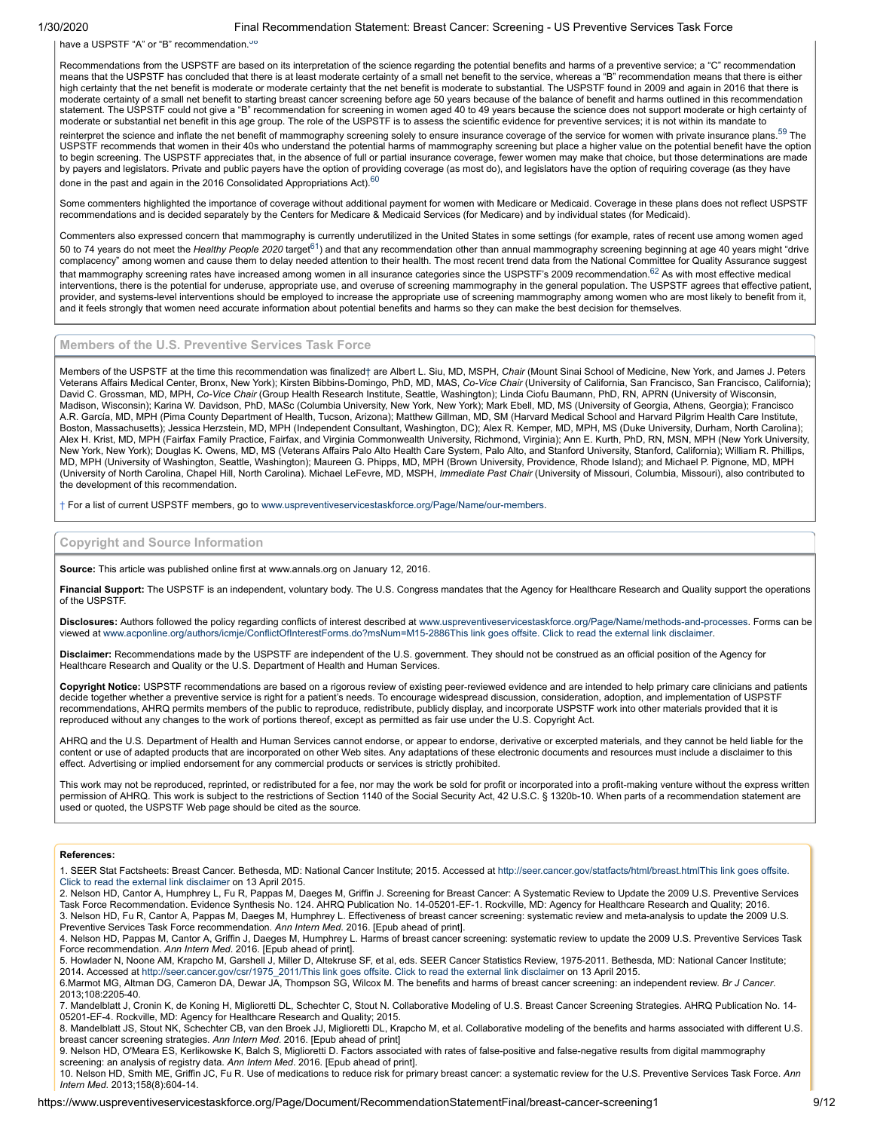have a USPSTF "A" or "B" recommendation.<sup>56</sup>

Recommendations from the USPSTF are based on its interpretation of the science regarding the potential benefits and harms of a preventive service; a "C" recommendation means that the USPSTF has concluded that there is at least moderate certainty of a small net benefit to the service, whereas a "B" recommendation means that there is either high certainty that the net benefit is moderate or moderate certainty that the net benefit is moderate to substantial. The USPSTF found in 2009 and again in 2016 that there is moderate certainty of a small net benefit to starting breast cancer screening before age 50 years because of the balance of benefit and harms outlined in this recommendation statement. The USPSTF could not give a "B" recommendation for screening in women aged 40 to 49 years because the science does not support moderate or high certainty of moderate or substantial net benefit in this age group. The role of the USPSTF is to assess the scientific evidence for preventive services; it is not within its mandate to reinterpret the science and inflate the net benefit of mammography screening solely to ensure insurance coverage of the service for women with private insurance plans.<sup>[59](#page-8-2)</sup> The USPSTF recommends that women in their 40s who understand the potential harms of mammography screening but place a higher value on the potential benefit have the option to begin screening. The USPSTF appreciates that, in the absence of full or partial insurance coverage, fewer women may make that choice, but those determinations are made by payers and legislators. Private and public payers have the option of providing coverage (as most do), and legislators have the option of requiring coverage (as they have done in the past and again in the 2016 Consolidated Appropriations Act). $^{60}$  $^{60}$  $^{60}$ 

Some commenters highlighted the importance of coverage without additional payment for women with Medicare or Medicaid. Coverage in these plans does not reflect USPSTF recommendations and is decided separately by the Centers for Medicare & Medicaid Services (for Medicare) and by individual states (for Medicaid).

Commenters also expressed concern that mammography is currently underutilized in the United States in some settings (for example, rates of recent use among women aged 50 to 74 years do not meet the Healthy People 2020 target<sup>[61](#page-8-2)</sup>) and that any recommendation other than annual mammography screening beginning at age 40 years might "drive complacency" among women and cause them to delay needed attention to their health. The most recent trend data from the National Committee for Quality Assurance suggest that mammography screening rates have increased among women in all insurance categories since the USPSTF's 2009 recommendation.<sup>[62](#page-8-2)</sup> As with most effective medical interventions, there is the potential for underuse, appropriate use, and overuse of screening mammography in the general population. The USPSTF agrees that effective patient, provider, and systems-level interventions should be employed to increase the appropriate use of screening mammography among women who are most likely to benefit from it, and it feels strongly that women need accurate information about potential benefits and harms so they can make the best decision for themselves.

# **Members of the U.S. Preventive Services Task Force**

Members of the USPSTF at the time this recommendation was finalized[†](#page-8-3) are Albert L. Siu, MD, MSPH, *Chair* (Mount Sinai School of Medicine, New York, and James J. Peters Veterans Affairs Medical Center, Bronx, New York); Kirsten Bibbins-Domingo, PhD, MD, MAS, *Co-Vice Chair* (University of California, San Francisco, San Francisco, California); David C. Grossman, MD, MPH, *Co-Vice Chair* (Group Health Research Institute, Seattle, Washington); Linda Ciofu Baumann, PhD, RN, APRN (University of Wisconsin, Madison, Wisconsin); Karina W. Davidson, PhD, MASc (Columbia University, New York, New York); Mark Ebell, MD, MS (University of Georgia, Athens, Georgia); Francisco A.R. García, MD, MPH (Pima County Department of Health, Tucson, Arizona); Matthew Gillman, MD, SM (Harvard Medical School and Harvard Pilgrim Health Care Institute, Boston, Massachusetts); Jessica Herzstein, MD, MPH (Independent Consultant, Washington, DC); Alex R. Kemper, MD, MPH, MS (Duke University, Durham, North Carolina); Alex H. Krist, MD, MPH (Fairfax Family Practice, Fairfax, and Virginia Commonwealth University, Richmond, Virginia); Ann E. Kurth, PhD, RN, MSN, MPH (New York University, New York, New York); Douglas K. Owens, MD, MS (Veterans Affairs Palo Alto Health Care System, Palo Alto, and Stanford University, Stanford, California); William R. Phillips, MD, MPH (University of Washington, Seattle, Washington); Maureen G. Phipps, MD, MPH (Brown University, Providence, Rhode Island); and Michael P. Pignone, MD, MPH (University of North Carolina, Chapel Hill, North Carolina). Michael LeFevre, MD, MSPH, *Immediate Past Chair* (University of Missouri, Columbia, Missouri), also contributed to the development of this recommendation.

<span id="page-8-3"></span>† For a list of current USPSTF members, go to [www.uspreventiveservicestaskforce.org/Page/Name/our-members](https://www.uspreventiveservicestaskforce.org/Page/Name/our-members).

#### <span id="page-8-0"></span>**Copyright and Source Information**

**Source:** This article was published online first at www.annals.org on January 12, 2016.

Financial Support: The USPSTF is an independent, voluntary body. The U.S. Congress mandates that the Agency for Healthcare Research and Quality support the operations of the USPSTF.

**Disclosures:** Authors followed the policy regarding conflicts of interest described at [www.uspreventiveservicestaskforce.org/Page/Name/methods-and-processes](https://www.uspreventiveservicestaskforce.org/Page/Name/methods-and-processes). Forms can be viewed at [www.acponline.org/authors/icmje/ConflictOfInterestForms.do?msNum=M15-2886](http://www.acponline.org/authors/icmje/ConflictOfInterestForms.do?msNum=M15-2886)[This link goes offsite. Click to read the external link disclaimer](https://www.uspreventiveservicestaskforce.org/Page/Name/exit-disclaimer).

**Disclaimer:** Recommendations made by the USPSTF are independent of the U.S. government. They should not be construed as an official position of the Agency for Healthcare Research and Quality or the U.S. Department of Health and Human Services.

**Copyright Notice:** USPSTF recommendations are based on a rigorous review of existing peer-reviewed evidence and are intended to help primary care clinicians and patients decide together whether a preventive service is right for a patient's needs. To encourage widespread discussion, consideration, adoption, and implementation of USPSTF recommendations, AHRQ permits members of the public to reproduce, redistribute, publicly display, and incorporate USPSTF work into other materials provided that it is reproduced without any changes to the work of portions thereof, except as permitted as fair use under the U.S. Copyright Act.

AHRQ and the U.S. Department of Health and Human Services cannot endorse, or appear to endorse, derivative or excerpted materials, and they cannot be held liable for the content or use of adapted products that are incorporated on other Web sites. Any adaptations of these electronic documents and resources must include a disclaimer to this effect. Advertising or implied endorsement for any commercial products or services is strictly prohibited.

This work may not be reproduced, reprinted, or redistributed for a fee, nor may the work be sold for profit or incorporated into a profit-making venture without the express written permission of AHRQ. This work is subject to the restrictions of Section 1140 of the Social Security Act, 42 U.S.C. § 1320b-10. When parts of a recommendation statement are used or quoted, the USPSTF Web page should be cited as the source.

#### <span id="page-8-1"></span>**References:**

<span id="page-8-2"></span>[1. SEER Stat Factsheets: Breast Cancer. Bethesda, MD: National Cancer Institute; 2015. Accessed at](https://www.uspreventiveservicestaskforce.org/Page/Name/exit-disclaimer) [http://seer.cancer.gov/statfacts/html/breast.htm](http://seer.cancer.gov/statfacts/html/breast.html)[lThis link goes offsite.](https://www.uspreventiveservicestaskforce.org/Page/Name/exit-disclaimer) Click to read the external link disclaimer on 13 April 2015.

2. Nelson HD, Cantor A, Humphrey L, Fu R, Pappas M, Daeges M, Griffin J. Screening for Breast Cancer: A Systematic Review to Update the 2009 U.S. Preventive Services Task Force Recommendation. Evidence Synthesis No. 124. AHRQ Publication No. 14-05201-EF-1. Rockville, MD: Agency for Healthcare Research and Quality; 2016. 3. Nelson HD, Fu R, Cantor A, Pappas M, Daeges M, Humphrey L. Effectiveness of breast cancer screening: systematic review and meta-analysis to update the 2009 U.S. Preventive Services Task Force recommendation. *Ann Intern Med*. 2016. [Epub ahead of print].

4. Nelson HD, Pappas M, Cantor A, Griffin J, Daeges M, Humphrey L. Harms of breast cancer screening: systematic review to update the 2009 U.S. Preventive Services Task Force recommendation. *Ann Intern Med*. 2016. [Epub ahead of print].

5. Howlader N, Noone AM, Krapcho M, Garshell J, Miller D, Altekruse SF, et al, eds. SEER Cancer Statistics Review, 1975-2011. Bethesda, MD: National Cancer Institute; 2014. Accessed at [http://seer.cancer.gov/csr/1975\\_2011/](http://seer.cancer.gov/csr/1975_2011/)[This link goes offsite. Click to read the external link disclaimer](https://www.uspreventiveservicestaskforce.org/Page/Name/exit-disclaimer) on 13 April 2015.

6.Marmot MG, Altman DG, Cameron DA, Dewar JA, Thompson SG, Wilcox M. The benefits and harms of breast cancer screening: an independent review. *Br J Cancer*. 2013;108:2205-40.

7. Mandelblatt J, Cronin K, de Koning H, Miglioretti DL, Schechter C, Stout N. Collaborative Modeling of U.S. Breast Cancer Screening Strategies. AHRQ Publication No. 14- 05201-EF-4. Rockville, MD: Agency for Healthcare Research and Quality; 2015.

8. Mandelblatt JS, Stout NK, Schechter CB, van den Broek JJ, Miglioretti DL, Krapcho M, et al. Collaborative modeling of the benefits and harms associated with different U.S. breast cancer screening strategies. *Ann Intern Med*. 2016. [Epub ahead of print]

9. Nelson HD, O'Meara ES, Kerlikowske K, Balch S, Miglioretti D. Factors associated with rates of false-positive and false-negative results from digital mammography screening: an analysis of registry data. *Ann Intern Med*. 2016. [Epub ahead of print].

10. Nelson HD, Smith ME, Griffin JC, Fu R. Use of medications to reduce risk for primary breast cancer: a systematic review for the U.S. Preventive Services Task Force. *Ann Intern Med*. 2013;158(8):604-14.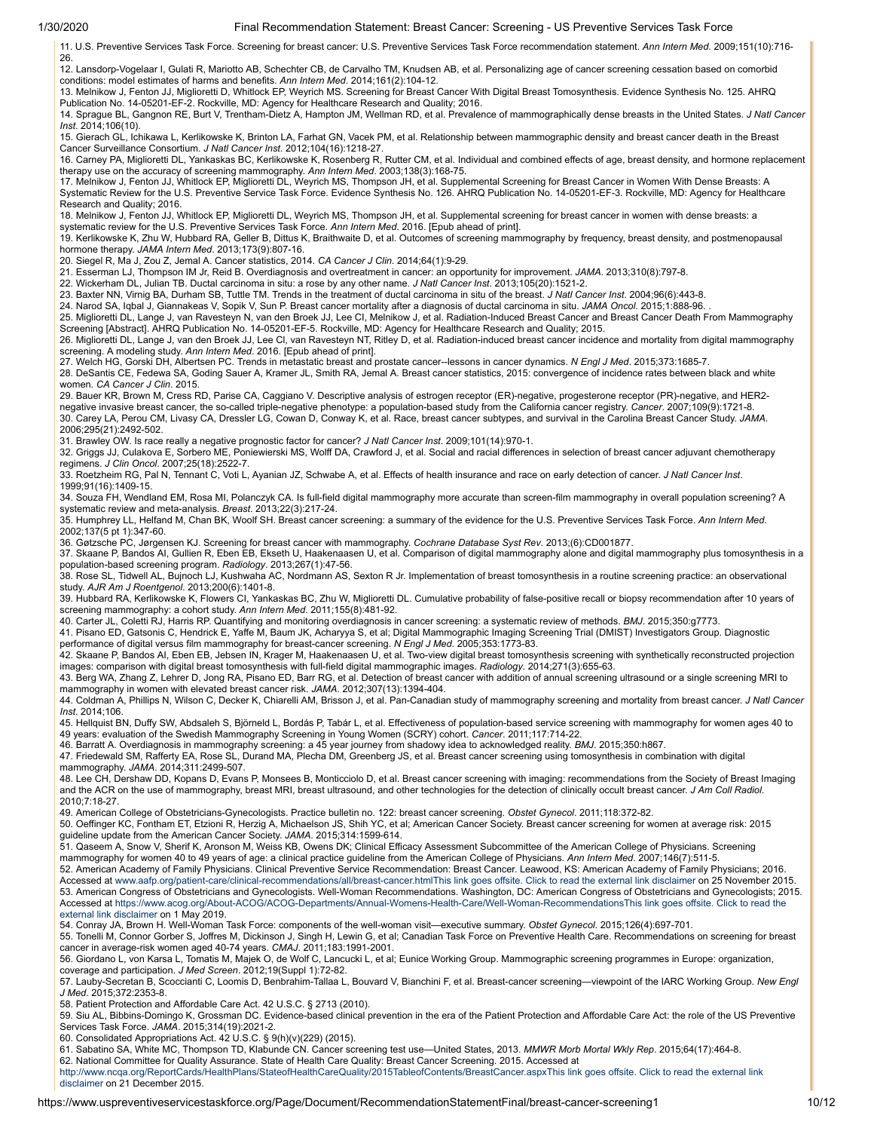11. U.S. Preventive Services Task Force. Screening for breast cancer: U.S. Preventive Services Task Force recommendation statement. *Ann Intern Med*. 2009;151(10):716- 26.

12. Lansdorp-Vogelaar I, Gulati R, Mariotto AB, Schechter CB, de Carvalho TM, Knudsen AB, et al. Personalizing age of cancer screening cessation based on comorbid<br>conditions: model estimates of harms and benefits. *Ann Int* 

13. Melnikow J, Fenton JJ, Miglioretti D, Whitlock EP, Weyrich MS. Screening for Breast Cancer With Digital Breast Tomosynthesis. Evidence Synthesis No. 125. AHRQ Publication No. 14-05201-EF-2. Rockville, MD: Agency for Healthcare Research and Quality; 2016.<br>14. Sprague BL, Gangnon RE, Burt V, Trentham-Dietz A, Hampton JM, Wellman RD, et al. Prevalence of mammographically dense brea

*Inst*. 2014;106(10).

15. Gierach GL, Ichikawa L, Kerlikowske K, Brinton LA, Farhat GN, Vacek PM, et al. Relationship between mammographic density and breast cancer death in the Breast Cancer Surveillance Consortium. *J Natl Cancer Inst*. 2012;104(16):1218-27.

16. Carney PA, Miglioretti DL, Yankaskas BC, Kerlikowske K, Rosenberg R, Rutter CM, et al. Individual and combined effects of age, breast density, and hormone replacement therapy use on the accuracy of screening mammography. *Ann Intern Med.* 2003;138(3):168-75.<br>17. Melnikow J, Fenton JJ, Whitlock EP, Miglioretti DL, Weyrich MS, Thompson JH, et al. Supplemental Screening for Breast Cancer i

Systematic Review for the U.S. Preventive Service Task Force. Evidence Synthesis No. 126. AHRQ Publication No. 14-05201-EF-3. Rockville, MD: Agency for Healthcare Research and Quality; 2016.

18. Melnikow J, Fenton JJ, Whitlock EP, Miglioretti DL, Weyrich MS, Thompson JH, et al. Supplemental screening for breast cancer in women with dense breasts: a<br>systematic review for the U.S. Preventive Services Task Force

19. Kerlikowske K, Zhu W, Hubbard RA, Geller B, Dittus K, Braithwaite D, et al. Outcomes of screening mammography by frequency, breast density, and postmenopausal hormone therapy. *JAMA Intern Med*. 2013;173(9):807-16.

20. Siegel R, Ma J, Zou Z, Jemal A. Cancer statistics, 2014. *CA Cancer J Clin*. 2014;64(1):9-29.

21. Esserman LJ, Thompson IM Jr, Reid B. Overdiagnosis and overtreatment in cancer: an opportunity for improvement. *JAMA*. 2013;310(8):797-8.

22. Wickerham DL, Julian TB. Ductal carcinoma in situ: a rose by any other name. *J Natl Cancer Inst*. 2013;105(20):1521-2.

23. Baxter NN, Virnig BA, Durham SB, Tuttle TM. Trends in the treatment of ductal carcinoma in situ of the breast. *J Natl Cancer Inst*. 2004;96(6):443-8.

24. Narod SA, Iqbal J, Giannakeas V, Sopik V, Sun P. Breast cancer mortality after a diagnosis of ductal carcinoma in situ. *JAMA Oncol*. 2015;1:888-96. .

25. Miglioretti DL, Lange J, van Ravesteyn N, van den Broek JJ, Lee CI, Melnikow J, et al. Radiation-Induced Breast Cancer and Breast Cancer Death From Mammography Screening [Abstract]. AHRQ Publication No. 14-05201-EF-5. Rockville, MD: Agency for Healthcare Research and Quality; 2015.

26. Miglioretti DL, Lange J, van den Broek JJ, Lee Cl, van Ravesteyn NT, Ritley D, et al. Radiation-induced breast cancer incidence and mortality from digital mammography screening. A modeling study. *Ann Intern Med*. 2016. [Epub ahead of print].

27. Welch HG, Gorski DH, Albertsen PC. Trends in metastatic breast and prostate cancer--lessons in cancer dynamics. *N Engl J Med*. 2015;373:1685-7.

28. DeSantis CE, Fedewa SA, Goding Sauer A, Kramer JL, Smith RA, Jemal A. Breast cancer statistics, 2015: convergence of incidence rates between black and white women. *CA Cancer J Clin*. 2015.

29. Bauer KR, Brown M, Cress RD, Parise CA, Caggiano V. Descriptive analysis of estrogen receptor (ER)-negative, progesterone receptor (PR)-negative, and HER2 negative invasive breast cancer, the so-called triple-negative phenotype: a population-based study from the California cancer registry. *Cancer*. 2007;109(9):1721-8. 30. Carey LA, Perou CM, Livasy CA, Dressler LG, Cowan D, Conway K, et al. Race, breast cancer subtypes, and survival in the Carolina Breast Cancer Study. *JAMA*. 2006;295(21):2492-502.

31. Brawley OW. Is race really a negative prognostic factor for cancer? *J Natl Cancer Inst*. 2009;101(14):970-1.

32. Griggs JJ, Culakova E, Sorbero ME, Poniewierski MS, Wolff DA, Crawford J, et al. Social and racial differences in selection of breast cancer adjuvant chemotherapy regimens. *J Clin Oncol*. 2007;25(18):2522-7.

33. Roetzheim RG, Pal N, Tennant C, Voti L, Ayanian JZ, Schwabe A, et al. Effects of health insurance and race on early detection of cancer. *J Natl Cancer Inst*. 1999;91(16):1409-15.

34. Souza FH, Wendland EM, Rosa MI, Polanczyk CA. Is full-field digital mammography more accurate than screen-film mammography in overall population screening? A systematic review and meta-analysis. *Breast*. 2013;22(3):217-24.

35. Humphrey LL, Helfand M, Chan BK, Woolf SH. Breast cancer screening: a summary of the evidence for the U.S. Preventive Services Task Force. *Ann Intern Med*. 2002;137(5 pt 1):347-60.

36. Gøtzsche PC, Jørgensen KJ. Screening for breast cancer with mammography. *Cochrane Database Syst Rev*. 2013;(6):CD001877.

37. Skaane P, Bandos AI, Gullien R, Eben EB, Ekseth U, Haakenaasen U, et al. Comparison of digital mammography alone and digital mammography plus tomosynthesis in a population-based screening program. *Radiology*. 2013;267(1):47-56.

38. Rose SL, Tidwell AL, Bujnoch LJ, Kushwaha AC, Nordmann AS, Sexton R Jr. Implementation of breast tomosynthesis in a routine screening practice: an observational study. *AJR Am J Roentgenol*. 2013;200(6):1401-8.

39. Hubbard RA, Kerlikowske K, Flowers CI, Yankaskas BC, Zhu W, Miglioretti DL. Cumulative probability of false-positive recall or biopsy recommendation after 10 years of screening mammography: a cohort study. *Ann Intern Med*. 2011;155(8):481-92.

40. Carter JL, Coletti RJ, Harris RP. Quantifying and monitoring overdiagnosis in cancer screening: a systematic review of methods. *BMJ*. 2015;350:g7773.

41. Pisano ED, Gatsonis C, Hendrick E, Yaffe M, Baum JK, Acharyya S, et al; Digital Mammographic Imaging Screening Trial (DMIST) Investigators Group. Diagnostic performance of digital versus film mammography for breast-cancer screening. *N Engl J Med*. 2005;353:1773-83.

42. Skaane P, Bandos AI, Eben EB, Jebsen IN, Krager M, Haakenaasen U, et al. Two-view digital breast tomosynthesis screening with synthetically reconstructed projection images: comparison with digital breast tomosynthesis with full-field digital mammographic images. *Radiology*. 2014;271(3):655-63.

43. Berg WA, Zhang Z, Lehrer D, Jong RA, Pisano ED, Barr RG, et al. Detection of breast cancer with addition of annual screening ultrasound or a single screening MRI to mammography in women with elevated breast cancer risk. *JAMA*. 2012;307(13):1394-404.

44. Coldman A, Phillips N, Wilson C, Decker K, Chiarelli AM, Brisson J, et al. Pan-Canadian study of mammography screening and mortality from breast cancer. *J Natl Cancer Inst*. 2014;106.

45. Hellquist BN, Duffy SW, Abdsaleh S, Björneld L, Bordás P, Tabár L, et al. Effectiveness of population-based service screening with mammography for women ages 40 to 49 years: evaluation of the Swedish Mammography Screening in Young Women (SCRY) cohort. *Cancer*. 2011;117:714-22.

46. Barratt A. Overdiagnosis in mammography screening: a 45 year journey from shadowy idea to acknowledged reality. *BMJ*. 2015;350:h867.

47. Friedewald SM, Rafferty EA, Rose SL, Durand MA, Plecha DM, Greenberg JS, et al. Breast cancer screening using tomosynthesis in combination with digital mammography. *JAMA*. 2014;311:2499-507.

48. Lee CH, Dershaw DD, Kopans D, Evans P, Monsees B, Monticciolo D, et al. Breast cancer screening with imaging: recommendations from the Society of Breast Imaging and the ACR on the use of mammography, breast MRI, breast ultrasound, and other technologies for the detection of clinically occult breast cancer. *J Am Coll Radiol*. 2010;7:18-27.

49. American College of Obstetricians-Gynecologists. Practice bulletin no. 122: breast cancer screening. *Obstet Gynecol*. 2011;118:372-82.

50. Oeffinger KC, Fontham ET, Etzioni R, Herzig A, Michaelson JS, Shih YC, et al; American Cancer Society. Breast cancer screening for women at average risk: 2015 guideline update from the American Cancer Society. *JAMA*. 2015;314:1599-614.

51. Qaseem A, Snow V, Sherif K, Aronson M, Weiss KB, Owens DK; Clinical Efficacy Assessment Subcommittee of the American College of Physicians. Screening mammography for women 40 to 49 years of age: a clinical practice guideline from the American College of Physicians. *Ann Intern Med*. 2007;146(7):511-5. 52. American Academy of Family Physicians. Clinical Preventive Service Recommendation: Breast Cancer. Leawood, KS: American Academy of Family Physicians; 2016.

Accessed at [www.aafp.org/patient-care/clinical-recommendations/all/breast-cancer.html](http://www.aafp.org/patient-care/clinical-recommendations/all/breast-cancer.html)[This link goes offsite. Click to read the external link disclaimer](https://www.uspreventiveservicestaskforce.org/Page/Name/exit-disclaimer) on 25 November 2015. 53. American Congress of Obstetricians and Gynecologists. Well-Woman Recommendations. Washington, DC: American Congress of Obstetricians and Gynecologists; 2015.<br>[Accessed at h](https://www.uspreventiveservicestaskforce.org/Page/Name/exit-disclaimer)ttps://www.acog.org/About-ACOG/ACOG-Departments

external link disclaimer on 1 May 2019.

54. Conray JA, Brown H. Well-Woman Task Force: components of the well-woman visit—executive summary. *Obstet Gynecol*. 2015;126(4):697-701.

55. Tonelli M, Connor Gorber S, Joffres M, Dickinson J, Singh H, Lewin G, et al; Canadian Task Force on Preventive Health Care. Recommendations on screening for breast<br>cancer in average-risk women aged 40-74 years. *CMAJ*.

56. Giordano L, von Karsa L, Tomatis M, Majek O, de Wolf C, Lancucki L, et al; Eunice Working Group. Mammographic screening programmes in Europe: organization, coverage and participation. *J Med Screen*. 2012;19(Suppl 1):72-82.

57. Lauby-Secretan B, Scoccianti C, Loomis D, Benbrahim-Tallaa L, Bouvard V, Bianchini F, et al. Breast-cancer screening—viewpoint of the IARC Working Group. *New Engl J Med*. 2015;372:2353-8.

58. Patient Protection and Affordable Care Act. 42 U.S.C. § 2713 (2010).<br>59. Siu AL, Bibbins-Domingo K, Grossman DC. Evidence-based clinical prevention in the era of the Patient Protection and Affordable Care Act: the role Services Task Force. *JAMA*. 2015;314(19):2021-2.

60. Consolidated Appropriations Act. 42 U.S.C. § 9(h)(v)(229) (2015).

61. Sabatino SA, White MC, Thompson TD, Klabunde CN. Cancer screening test use—United States, 2013. *MMWR Morb Mortal Wkly Rep*. 2015;64(17):464-8.

62. National Committee for Quality Assurance. State of Health Care Quality: Breast Cancer Screening. 2015. Accessed at

[http://www.ncqa.org/ReportCards/HealthPlans/StateofHealthCareQuality/2015TableofContents/BreastCancer.asp](http://www.ncqa.org/ReportCards/HealthPlans/StateofHealthCareQuality/2015TableofContents/BreastCancer.aspx)[xThis link goes offsite. Click to read the external link](https://www.uspreventiveservicestaskforce.org/Page/Name/exit-disclaimer) disclaimer on 21 December 2015.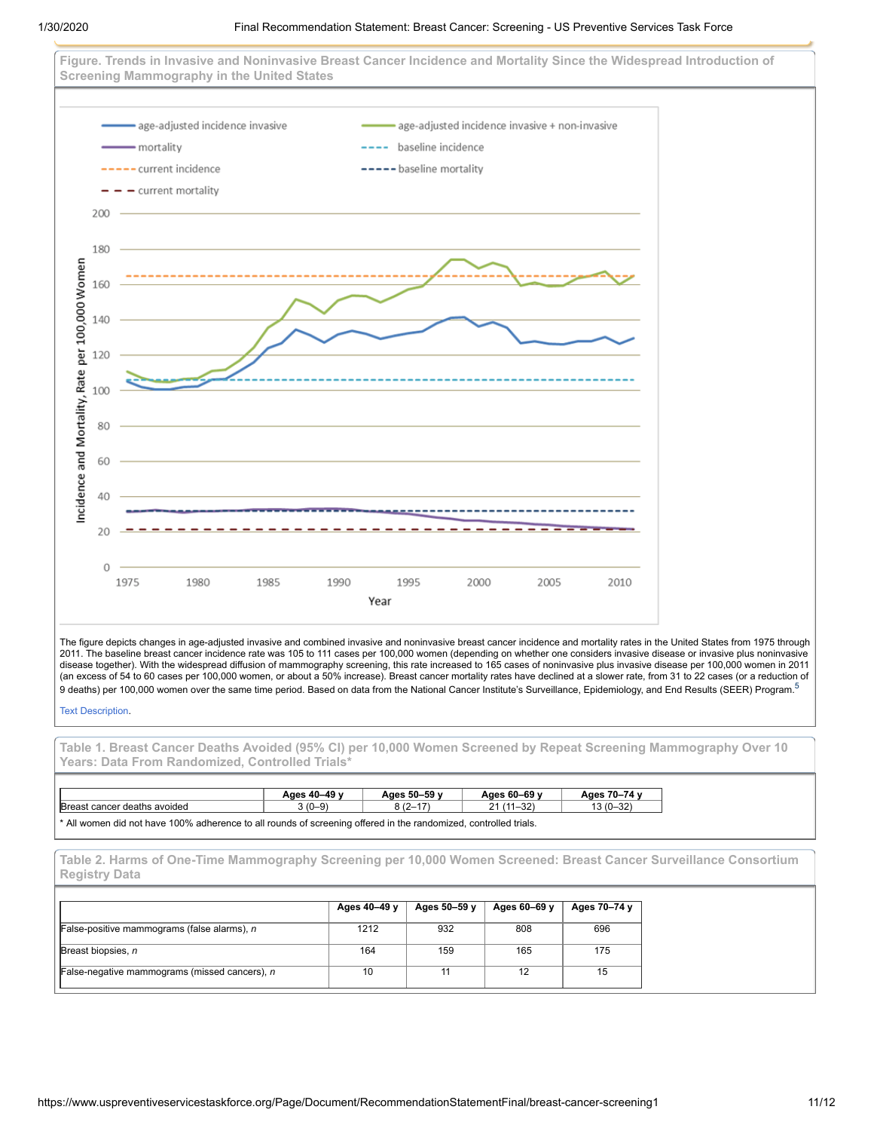<span id="page-10-1"></span>

9 deaths) per 100,000 women over the same time period. Based on data from the National Cancer Institute's Surveillance, Epidemiology, and End Results (SEER) Program.<sup>[5](https://www.uspreventiveservicestaskforce.org/USPSTF_Admin/TopicMgmnt/Development/PreviewDocumentByID/1311#citation5)</sup> Text Description.

Table 1. Breast Cancer Deaths Avoided (95% CI) per 10,000 Women Screened by Repeat Screening Mammography Over 10 **Years: Data From Randomized, Controlled Trials\***

<span id="page-10-0"></span>

|                                                                                                                  | Ages 40-49 v | Ages 50-59 v | Ages 60-69 v | Ages 70-74 v |
|------------------------------------------------------------------------------------------------------------------|--------------|--------------|--------------|--------------|
| Breast cancer deaths avoided                                                                                     | $3(0-9)$     | $8(2-17)$    | $21(11-32)$  | $13(0-32)$   |
| * All women did not have 100% adherence to all rounds of screening offered in the randomized, controlled trials. |              |              |              |              |

**Table 2. Harms of One-Time Mammography Screening per 10,000 Women Screened: Breast Cancer Surveillance Consortium Registry Data**

<span id="page-10-2"></span>

|                                               | Ages 40-49 y | Ages 50–59 y | Ages 60–69 y | Ages 70-74 y |
|-----------------------------------------------|--------------|--------------|--------------|--------------|
| False-positive mammograms (false alarms), n   | 1212         | 932          | 808          | 696          |
| Breast biopsies, n                            | 164          | 159          | 165          | 175          |
| False-negative mammograms (missed cancers), n | 10           |              |              | 15           |